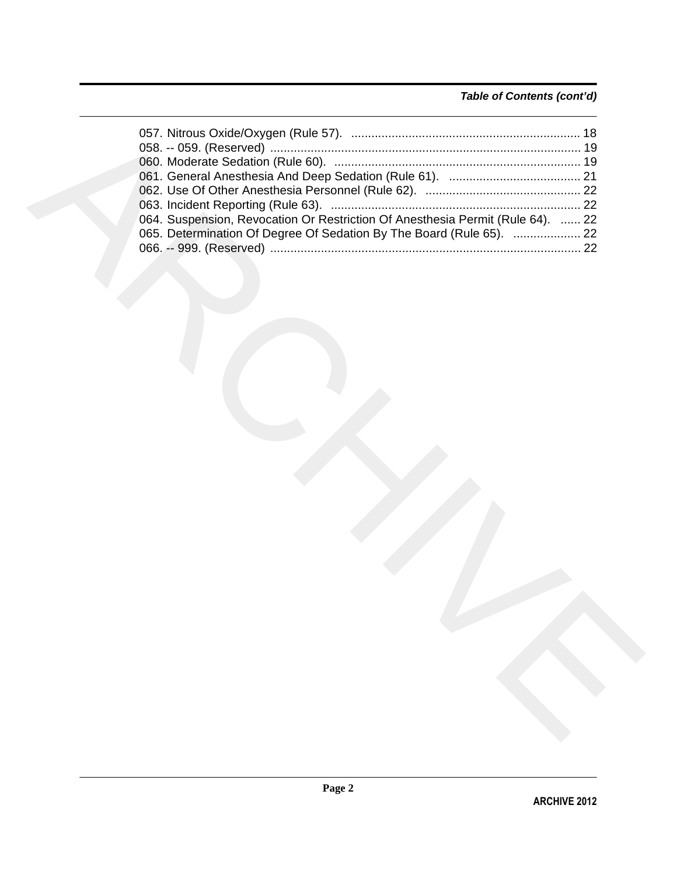# *Table of Contents (cont'd)*

| 064. Suspension, Revocation Or Restriction Of Anesthesia Permit (Rule 64).  22<br>065. Determination Of Degree Of Sedation By The Board (Rule 65).  22 |  |
|--------------------------------------------------------------------------------------------------------------------------------------------------------|--|
|                                                                                                                                                        |  |
|                                                                                                                                                        |  |
|                                                                                                                                                        |  |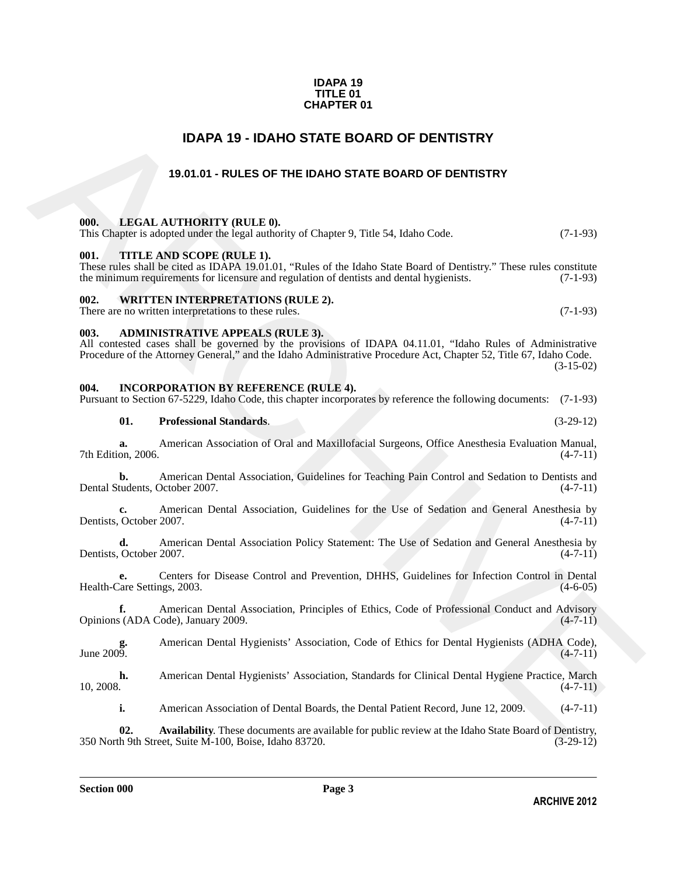#### **IDAPA 19 TITLE 01 CHAPTER 01**

# **IDAPA 19 - IDAHO STATE BOARD OF DENTISTRY**

# **19.01.01 - RULES OF THE IDAHO STATE BOARD OF DENTISTRY**

#### **000. LEGAL AUTHORITY (RULE 0).**

|  |  |  | This Chapter is adopted under the legal authority of Chapter 9, Title 54, Idaho Code. |  | $(7-1-93)$ |
|--|--|--|---------------------------------------------------------------------------------------|--|------------|
|  |  |  |                                                                                       |  |            |

#### **001. TITLE AND SCOPE (RULE 1).**

These rules shall be cited as IDAPA 19.01.01, "Rules of the Idaho State Board of Dentistry." These rules constitute the minimum requirements for licensure and regulation of dentists and dental hygienists. (7-1-93) the minimum requirements for licensure and regulation of dentists and dental hygienists.

#### **002. WRITTEN INTERPRETATIONS (RULE 2).**

There are no written interpretations to these rules. (7-1-93)

#### **003. ADMINISTRATIVE APPEALS (RULE 3).**

**IDAPA 19 - IDANO STATE BOARD OF DENTISTRY**<br>
19.01.01 - RULES OF THE IDANO STATE BOARD OF DENTISTRY<br>
19.01.01 - RULES OF THE IDANO STATE BOARD OF DENTISTRY<br>
19.1. LEVAL AUTHORITY (RULE 8).<br>
19. Clarges: to advantation to All contested cases shall be governed by the provisions of IDAPA 04.11.01, "Idaho Rules of Administrative Procedure of the Attorney General," and the Idaho Administrative Procedure Act, Chapter 52, Title 67, Idaho Code. (3-15-02)

#### **004. INCORPORATION BY REFERENCE (RULE 4).**

Pursuant to Section 67-5229, Idaho Code, this chapter incorporates by reference the following documents: (7-1-93)

#### **01. Professional Standards**. (3-29-12)

**a.** American Association of Oral and Maxillofacial Surgeons, Office Anesthesia Evaluation Manual, on, 2006. (4-7-11) 7th Edition, 2006.

**b.** American Dental Association, Guidelines for Teaching Pain Control and Sedation to Dentists and tudents, October 2007. (4-7-11) Dental Students, October 2007.

**c.** American Dental Association, Guidelines for the Use of Sedation and General Anesthesia by Dentists, October 2007. (4-7-11)

**d.** American Dental Association Policy Statement: The Use of Sedation and General Anesthesia by October 2007. (4-7-11) Dentists, October 2007.

**e.** Centers for Disease Control and Prevention, DHHS, Guidelines for Infection Control in Dental Health-Care Settings, 2003.

**f.** American Dental Association, Principles of Ethics, Code of Professional Conduct and Advisory Opinions (ADA Code), January 2009. (4-7-11)

**g.** American Dental Hygienists' Association, Code of Ethics for Dental Hygienists (ADHA Code),  $\mu$  June 2009. (4-7-11)

**h.** American Dental Hygienists' Association, Standards for Clinical Dental Hygiene Practice, March 10, 2008. (4-7-11)  $10, 2008.$  (4-7-11)

**i.** American Association of Dental Boards, the Dental Patient Record, June 12, 2009. (4-7-11)

**02.** Availability. These documents are available for public review at the Idaho State Board of Dentistry, h 9th Street, Suite M-100, Boise, Idaho 83720. (3-29-12) 350 North 9th Street, Suite M-100, Boise, Idaho 83720.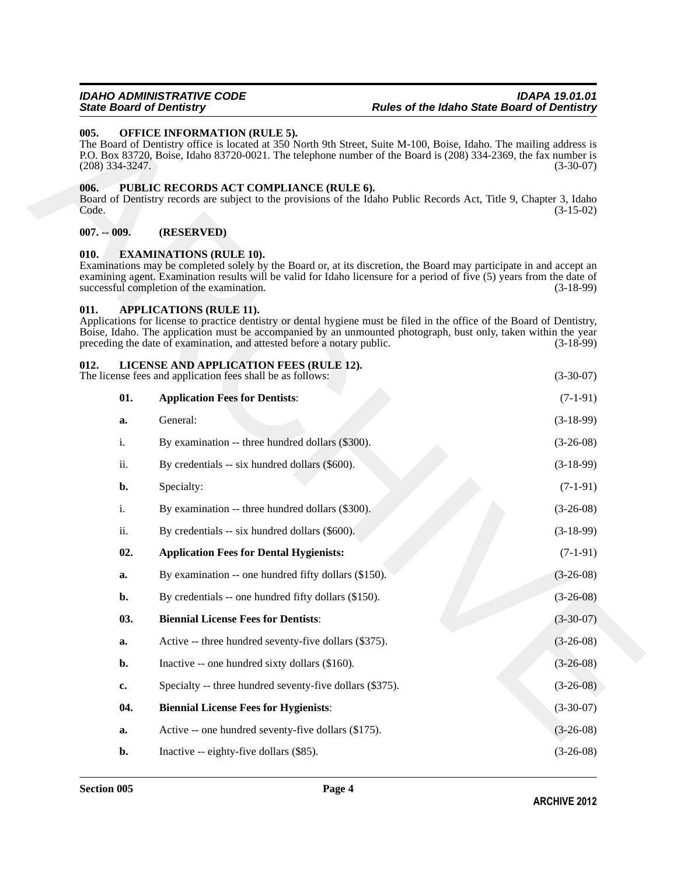#### **005. OFFICE INFORMATION (RULE 5).**

#### **006. PUBLIC RECORDS ACT COMPLIANCE (RULE 6).**

#### **007. -- 009. (RESERVED)**

#### <span id="page-3-1"></span>**010. EXAMINATIONS (RULE 10).**

#### <span id="page-3-6"></span><span id="page-3-5"></span><span id="page-3-4"></span><span id="page-3-3"></span><span id="page-3-2"></span><span id="page-3-0"></span>**011. APPLICATIONS (RULE 11).**

| 005.<br>$(208)$ 334-3247. |               | <b>OFFICE INFORMATION (RULE 5).</b><br>The Board of Dentistry office is located at 350 North 9th Street, Suite M-100, Boise, Idaho. The mailing address is<br>P.O. Box 83720, Boise, Idaho 83720-0021. The telephone number of the Board is (208) 334-2369, the fax number is                                                                          | $(3-30-07)$ |
|---------------------------|---------------|--------------------------------------------------------------------------------------------------------------------------------------------------------------------------------------------------------------------------------------------------------------------------------------------------------------------------------------------------------|-------------|
| 006.<br>Code.             |               | PUBLIC RECORDS ACT COMPLIANCE (RULE 6).<br>Board of Dentistry records are subject to the provisions of the Idaho Public Records Act, Title 9, Chapter 3, Idaho                                                                                                                                                                                         | $(3-15-02)$ |
| $007. - 009.$             |               | (RESERVED)                                                                                                                                                                                                                                                                                                                                             |             |
| 010.                      |               | <b>EXAMINATIONS (RULE 10).</b><br>Examinations may be completed solely by the Board or, at its discretion, the Board may participate in and accept an<br>examining agent. Examination results will be valid for Idaho licensure for a period of five (5) years from the date of<br>successful completion of the examination.                           | $(3-18-99)$ |
| 011.                      |               | <b>APPLICATIONS (RULE 11).</b><br>Applications for license to practice dentistry or dental hygiene must be filed in the office of the Board of Dentistry,<br>Boise, Idaho. The application must be accompanied by an unmounted photograph, bust only, taken within the year<br>preceding the date of examination, and attested before a notary public. | $(3-18-99)$ |
| 012.                      |               | LICENSE AND APPLICATION FEES (RULE 12).<br>The license fees and application fees shall be as follows:                                                                                                                                                                                                                                                  | $(3-30-07)$ |
|                           | 01.           | <b>Application Fees for Dentists:</b>                                                                                                                                                                                                                                                                                                                  | $(7-1-91)$  |
|                           | a.            | General:                                                                                                                                                                                                                                                                                                                                               | $(3-18-99)$ |
|                           | i.            | By examination -- three hundred dollars (\$300).                                                                                                                                                                                                                                                                                                       | $(3-26-08)$ |
|                           | ii.           | By credentials -- six hundred dollars (\$600).                                                                                                                                                                                                                                                                                                         | $(3-18-99)$ |
|                           | b.            | Specialty:                                                                                                                                                                                                                                                                                                                                             | $(7-1-91)$  |
|                           | i.            | By examination -- three hundred dollars (\$300).                                                                                                                                                                                                                                                                                                       | $(3-26-08)$ |
|                           | ii.           | By credentials -- six hundred dollars (\$600).                                                                                                                                                                                                                                                                                                         | $(3-18-99)$ |
|                           | 02.           | <b>Application Fees for Dental Hygienists:</b>                                                                                                                                                                                                                                                                                                         | $(7-1-91)$  |
|                           | a.            | By examination -- one hundred fifty dollars (\$150).                                                                                                                                                                                                                                                                                                   | $(3-26-08)$ |
|                           | b.            | By credentials -- one hundred fifty dollars (\$150).                                                                                                                                                                                                                                                                                                   | $(3-26-08)$ |
|                           | 03.           | <b>Biennial License Fees for Dentists:</b>                                                                                                                                                                                                                                                                                                             | $(3-30-07)$ |
|                           | a.            | Active -- three hundred seventy-five dollars (\$375).                                                                                                                                                                                                                                                                                                  | $(3-26-08)$ |
|                           | b.            | Inactive -- one hundred sixty dollars (\$160).                                                                                                                                                                                                                                                                                                         | $(3-26-08)$ |
|                           | $c_{\bullet}$ | Specialty -- three hundred seventy-five dollars (\$375).                                                                                                                                                                                                                                                                                               | $(3-26-08)$ |
|                           | 04.           | <b>Biennial License Fees for Hygienists:</b>                                                                                                                                                                                                                                                                                                           | $(3-30-07)$ |
|                           | a.            | Active -- one hundred seventy-five dollars (\$175).                                                                                                                                                                                                                                                                                                    | $(3-26-08)$ |
|                           | b.            | Inactive -- eighty-five dollars (\$85).                                                                                                                                                                                                                                                                                                                | $(3-26-08)$ |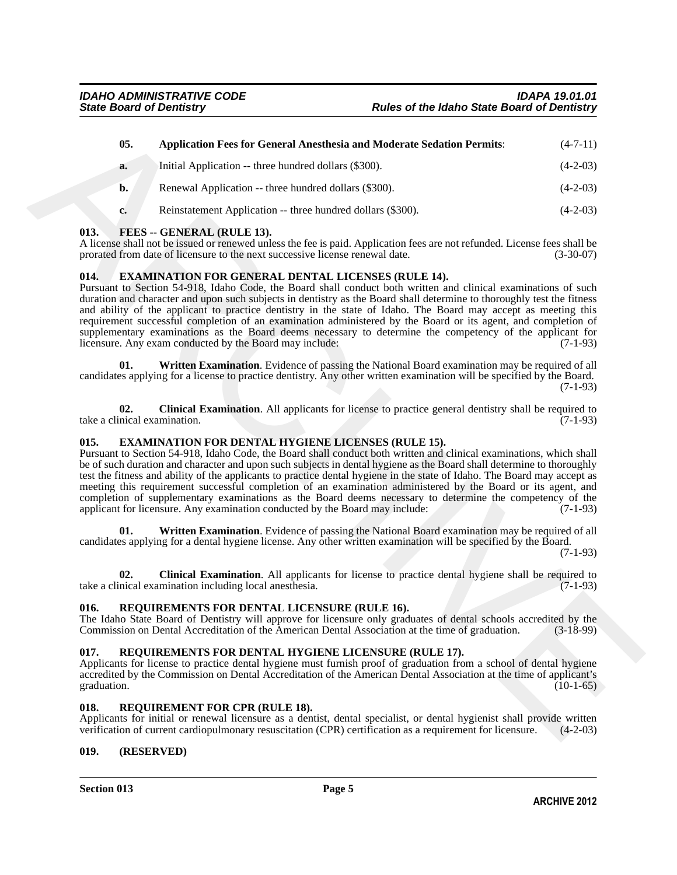| 05.                                 | <b>Application Fees for General Anesthesia and Moderate Sedation Permits:</b>                                                                                                                                                                                                                                                                                                                                                                                                                                                                                                                                                                                                                                                                     | $(4-7-11)$  |
|-------------------------------------|---------------------------------------------------------------------------------------------------------------------------------------------------------------------------------------------------------------------------------------------------------------------------------------------------------------------------------------------------------------------------------------------------------------------------------------------------------------------------------------------------------------------------------------------------------------------------------------------------------------------------------------------------------------------------------------------------------------------------------------------------|-------------|
| a.                                  | Initial Application -- three hundred dollars (\$300).                                                                                                                                                                                                                                                                                                                                                                                                                                                                                                                                                                                                                                                                                             | $(4-2-03)$  |
| b.                                  | Renewal Application -- three hundred dollars (\$300).                                                                                                                                                                                                                                                                                                                                                                                                                                                                                                                                                                                                                                                                                             | $(4-2-03)$  |
| c.                                  | Reinstatement Application -- three hundred dollars (\$300).                                                                                                                                                                                                                                                                                                                                                                                                                                                                                                                                                                                                                                                                                       | $(4-2-03)$  |
| 013.                                | FEES -- GENERAL (RULE 13).<br>A license shall not be issued or renewed unless the fee is paid. Application fees are not refunded. License fees shall be<br>prorated from date of licensure to the next successive license renewal date.                                                                                                                                                                                                                                                                                                                                                                                                                                                                                                           | $(3-30-07)$ |
| 014.                                | <b>EXAMINATION FOR GENERAL DENTAL LICENSES (RULE 14).</b><br>Pursuant to Section 54-918, Idaho Code, the Board shall conduct both written and clinical examinations of such<br>duration and character and upon such subjects in dentistry as the Board shall determine to thoroughly test the fitness<br>and ability of the applicant to practice dentistry in the state of Idaho. The Board may accept as meeting this<br>requirement successful completion of an examination administered by the Board or its agent, and completion of<br>supplementary examinations as the Board deems necessary to determine the competency of the applicant for<br>licensure. Any exam conducted by the Board may include:                                   | $(7-1-93)$  |
| 01.                                 | Written Examination. Evidence of passing the National Board examination may be required of all<br>candidates applying for a license to practice dentistry. Any other written examination will be specified by the Board.                                                                                                                                                                                                                                                                                                                                                                                                                                                                                                                          | $(7-1-93)$  |
| 02.<br>take a clinical examination. | <b>Clinical Examination.</b> All applicants for license to practice general dentistry shall be required to                                                                                                                                                                                                                                                                                                                                                                                                                                                                                                                                                                                                                                        | $(7-1-93)$  |
| 015.                                | <b>EXAMINATION FOR DENTAL HYGIENE LICENSES (RULE 15).</b><br>Pursuant to Section 54-918, Idaho Code, the Board shall conduct both written and clinical examinations, which shall<br>be of such duration and character and upon such subjects in dental hygiene as the Board shall determine to thoroughly<br>test the fitness and ability of the applicants to practice dental hygiene in the state of Idaho. The Board may accept as<br>meeting this requirement successful completion of an examination administered by the Board or its agent, and<br>completion of supplementary examinations as the Board deems necessary to determine the competency of the<br>applicant for licensure. Any examination conducted by the Board may include: | $(7-1-93)$  |
| 01.                                 | Written Examination. Evidence of passing the National Board examination may be required of all<br>candidates applying for a dental hygiene license. Any other written examination will be specified by the Board.                                                                                                                                                                                                                                                                                                                                                                                                                                                                                                                                 | $(7-1-93)$  |
| 02.                                 | Clinical Examination. All applicants for license to practice dental hygiene shall be required to<br>take a clinical examination including local anesthesia.                                                                                                                                                                                                                                                                                                                                                                                                                                                                                                                                                                                       | $(7-1-93)$  |
| 016.                                | REQUIREMENTS FOR DENTAL LICENSURE (RULE 16).<br>The Idaho State Board of Dentistry will approve for licensure only graduates of dental schools accredited by the<br>Commission on Dental Accreditation of the American Dental Association at the time of graduation.                                                                                                                                                                                                                                                                                                                                                                                                                                                                              | $(3-18-99)$ |
| 017.<br>graduation.                 | REQUIREMENTS FOR DENTAL HYGIENE LICENSURE (RULE 17).<br>Applicants for license to practice dental hygiene must furnish proof of graduation from a school of dental hygiene<br>accredited by the Commission on Dental Accreditation of the American Dental Association at the time of applicant's                                                                                                                                                                                                                                                                                                                                                                                                                                                  | $(10-1-65)$ |
| 018.                                | <b>REQUIREMENT FOR CPR (RULE 18).</b><br>Applicants for initial or renewal licensure as a dentist, dental specialist, or dental hygienist shall provide written<br>verification of current cardiopulmonary resuscitation (CPR) certification as a requirement for licensure.                                                                                                                                                                                                                                                                                                                                                                                                                                                                      | $(4-2-03)$  |

#### <span id="page-4-7"></span><span id="page-4-6"></span>**013. FEES -- GENERAL (RULE 13).**

#### <span id="page-4-5"></span><span id="page-4-3"></span>**014. EXAMINATION FOR GENERAL DENTAL LICENSES (RULE 14).**

#### <span id="page-4-4"></span><span id="page-4-2"></span><span id="page-4-0"></span>**015. EXAMINATION FOR DENTAL HYGIENE LICENSES (RULE 15).**

#### <span id="page-4-10"></span><span id="page-4-1"></span>**016. REQUIREMENTS FOR DENTAL LICENSURE (RULE 16).**

#### <span id="page-4-9"></span>**017. REQUIREMENTS FOR DENTAL HYGIENE LICENSURE (RULE 17).**

#### <span id="page-4-8"></span>**018. REQUIREMENT FOR CPR (RULE 18).**

#### **019. (RESERVED)**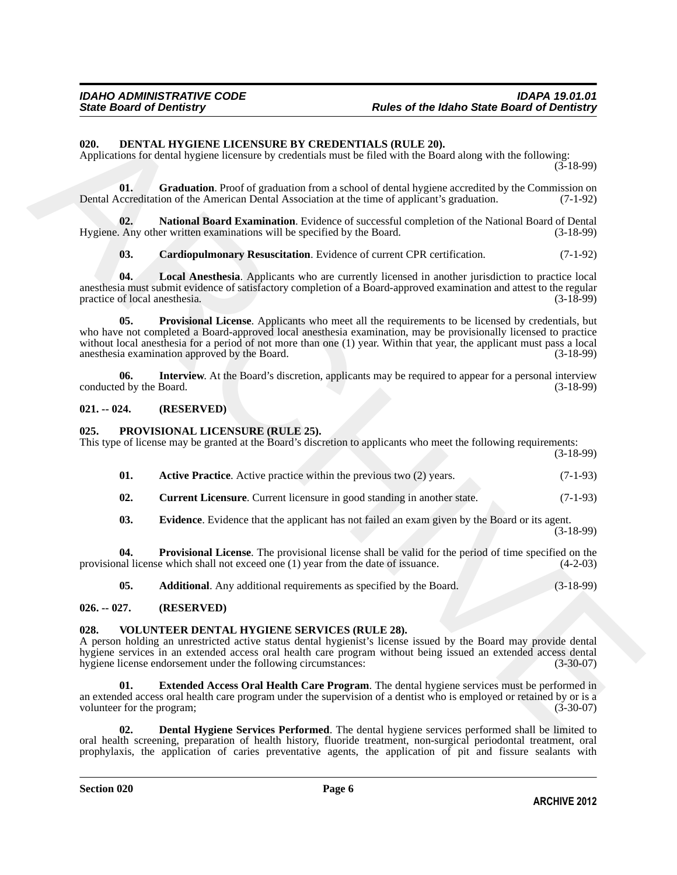#### <span id="page-5-0"></span>**020. DENTAL HYGIENE LICENSURE BY CREDENTIALS (RULE 20).**

Applications for dental hygiene licensure by credentials must be filed with the Board along with the following:

 $(3-18-99)$ 

<span id="page-5-2"></span>**01.** Graduation. Proof of graduation from a school of dental hygiene accredited by the Commission on accreditation of the American Dental Association at the time of applicant's graduation. (7-1-92) Dental Accreditation of the American Dental Association at the time of applicant's graduation.

**02. National Board Examination**. Evidence of successful completion of the National Board of Dental Hygiene. Any other written examinations will be specified by the Board. (3-18-99)

<span id="page-5-6"></span><span id="page-5-5"></span><span id="page-5-4"></span><span id="page-5-1"></span>**03. Cardiopulmonary Resuscitation**. Evidence of current CPR certification. (7-1-92)

**04. Local Anesthesia**. Applicants who are currently licensed in another jurisdiction to practice local anesthesia must submit evidence of satisfactory completion of a Board-approved examination and attest to the regular practice of local anesthesia.

**EQUEL DEPATAT. INVESTIGATE LECT-SNSLER BY CREDENTIALS (RULLE 20).**<br>Applications for dental hygiens licenson by endemicia sum to find with a Branchive for dentising with the following 1.50)<br>
Detail ANANCHIBURG FROM EXPRES **05. Provisional License**. Applicants who meet all the requirements to be licensed by credentials, but who have not completed a Board-approved local anesthesia examination, may be provisionally licensed to practice without local anesthesia for a period of not more than one (1) year. Within that year, the applicant must pass a local anesthesia examination approved by the Board. anesthesia examination approved by the Board.

<span id="page-5-3"></span>**06. Interview**. At the Board's discretion, applicants may be required to appear for a personal interview d by the Board. (3-18-99) conducted by the Board.

#### **021. -- 024. (RESERVED)**

#### <span id="page-5-8"></span>**025. PROVISIONAL LICENSURE (RULE 25).**

This type of license may be granted at the Board's discretion to applicants who meet the following requirements: (3-18-99)

<span id="page-5-9"></span>

| <b>Active Practice.</b> Active practice within the previous two (2) years. | $(7-1-93)$ |
|----------------------------------------------------------------------------|------------|

<span id="page-5-11"></span>**02.** Current Licensure. Current licensure in good standing in another state. (7-1-93)

<span id="page-5-12"></span><span id="page-5-7"></span>**03.** Evidence. Evidence that the applicant has not failed an exam given by the Board or its agent.

 $(3-18-99)$ 

**04. Provisional License**. The provisional license shall be valid for the period of time specified on the hall license which shall not exceed one (1) year from the date of issuance. (4-2-03) provisional license which shall not exceed one  $(1)$  year from the date of issuance.

<span id="page-5-13"></span><span id="page-5-10"></span>**05. Additional**. Any additional requirements as specified by the Board. (3-18-99)

#### **026. -- 027. (RESERVED)**

#### **028. VOLUNTEER DENTAL HYGIENE SERVICES (RULE 28).**

A person holding an unrestricted active status dental hygienist's license issued by the Board may provide dental hygiene services in an extended access oral health care program without being issued an extended access dental<br>hygiene license endorsement under the following circumstances: (3-30-07) hygiene license endorsement under the following circumstances:

<span id="page-5-15"></span>**01. Extended Access Oral Health Care Program**. The dental hygiene services must be performed in an extended access oral health care program under the supervision of a dentist who is employed or retained by or is a volunteer for the program: (3-30-07) volunteer for the program;

<span id="page-5-14"></span>**02. Dental Hygiene Services Performed**. The dental hygiene services performed shall be limited to oral health screening, preparation of health history, fluoride treatment, non-surgical periodontal treatment, oral prophylaxis, the application of caries preventative agents, the application of pit and fissure sealants with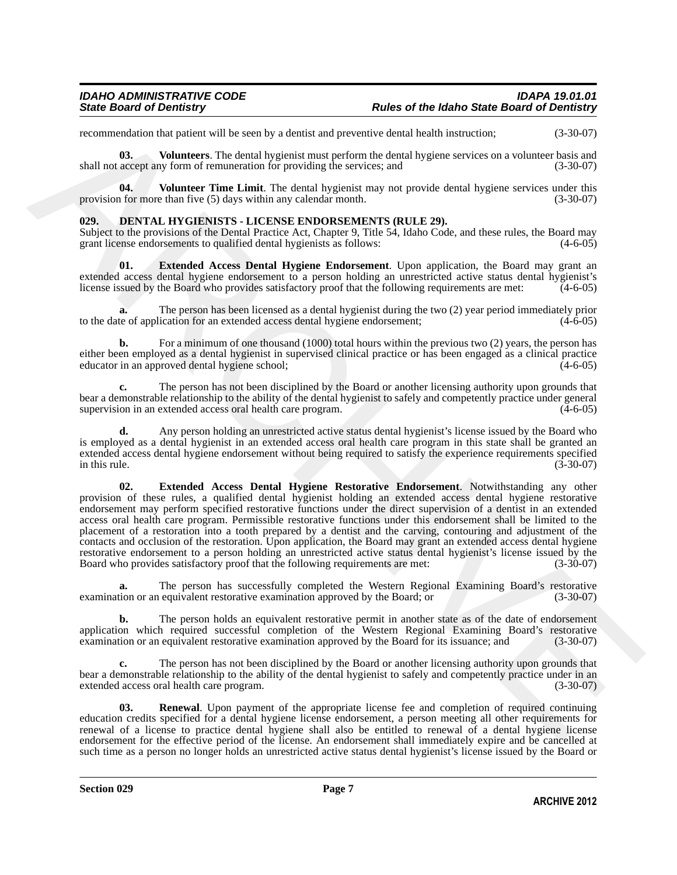recommendation that patient will be seen by a dentist and preventive dental health instruction; (3-30-07)

<span id="page-6-5"></span>**03. Volunteers**. The dental hygienist must perform the dental hygiene services on a volunteer basis and shall not accept any form of remuneration for providing the services; and  $(3-30-07)$ 

<span id="page-6-4"></span>**04.** Volunteer Time Limit. The dental hygienist may not provide dental hygiene services under this of or more than five (5) days within any calendar month. (3-30-07) provision for more than five  $(5)$  days within any calendar month.

#### <span id="page-6-0"></span>**029. DENTAL HYGIENISTS - LICENSE ENDORSEMENTS (RULE 29).**

Subject to the provisions of the Dental Practice Act, Chapter 9, Title 54, Idaho Code, and these rules, the Board may grant license endorsements to qualified dental hygienists as follows: (4-6-05) grant license endorsements to qualified dental hygienists as follows:

<span id="page-6-1"></span>**01. Extended Access Dental Hygiene Endorsement**. Upon application, the Board may grant an extended access dental hygiene endorsement to a person holding an unrestricted active status dental hygienist's license issued by the Board who provides satisfactory proof that the following requirements are met: (4-6-05)

**a.** The person has been licensed as a dental hygienist during the two (2) year period immediately prior te of application for an extended access dental hygiene endorsement:  $(4-6-05)$ to the date of application for an extended access dental hygiene endorsement;

For a minimum of one thousand (1000) total hours within the previous two (2) years, the person has either been employed as a dental hygienist in supervised clinical practice or has been engaged as a clinical practice educator in an approved dental hygiene school;

**c.** The person has not been disciplined by the Board or another licensing authority upon grounds that bear a demonstrable relationship to the ability of the dental hygienist to safely and competently practice under general supervision in an extended access oral health care program. (4-6-05) supervision in an extended access oral health care program.

<span id="page-6-2"></span>**d.** Any person holding an unrestricted active status dental hygienist's license issued by the Board who is employed as a dental hygienist in an extended access oral health care program in this state shall be granted an extended access dental hygiene endorsement without being required to satisfy the experience requirements specified<br>(3-30-07)<br>(3-30-07) in this rule.  $(3-30-07)$ 

recommendation that parties will be seen by a density and processive derivative constraints;<br>
And not exactly a Valentum and the set of the set of the set of the set of the set of the set of the set of the set of the set **02. Extended Access Dental Hygiene Restorative Endorsement**. Notwithstanding any other provision of these rules, a qualified dental hygienist holding an extended access dental hygiene restorative endorsement may perform specified restorative functions under the direct supervision of a dentist in an extended access oral health care program. Permissible restorative functions under this endorsement shall be limited to the placement of a restoration into a tooth prepared by a dentist and the carving, contouring and adjustment of the contacts and occlusion of the restoration. Upon application, the Board may grant an extended access dental hygiene restorative endorsement to a person holding an unrestricted active status dental hygienist's license issued by the Board who provides satisfactory proof that the following requirements are met:  $(3-30-07)$ Board who provides satisfactory proof that the following requirements are met:

**a.** The person has successfully completed the Western Regional Examining Board's restorative examination or an equivalent restorative examination approved by the Board; or (3-30-07)

**b.** The person holds an equivalent restorative permit in another state as of the date of endorsement application which required successful completion of the Western Regional Examining Board's restorative examination approved by the Board for its issuance: and (3-30-07) examination or an equivalent restorative examination approved by the Board for its issuance; and

**c.** The person has not been disciplined by the Board or another licensing authority upon grounds that bear a demonstrable relationship to the ability of the dental hygienist to safely and competently practice under in an extended access oral health care program. (3-30-07) extended access oral health care program.

<span id="page-6-3"></span>**03. Renewal**. Upon payment of the appropriate license fee and completion of required continuing education credits specified for a dental hygiene license endorsement, a person meeting all other requirements for renewal of a license to practice dental hygiene shall also be entitled to renewal of a dental hygiene license endorsement for the effective period of the license. An endorsement shall immediately expire and be cancelled at such time as a person no longer holds an unrestricted active status dental hygienist's license issued by the Board or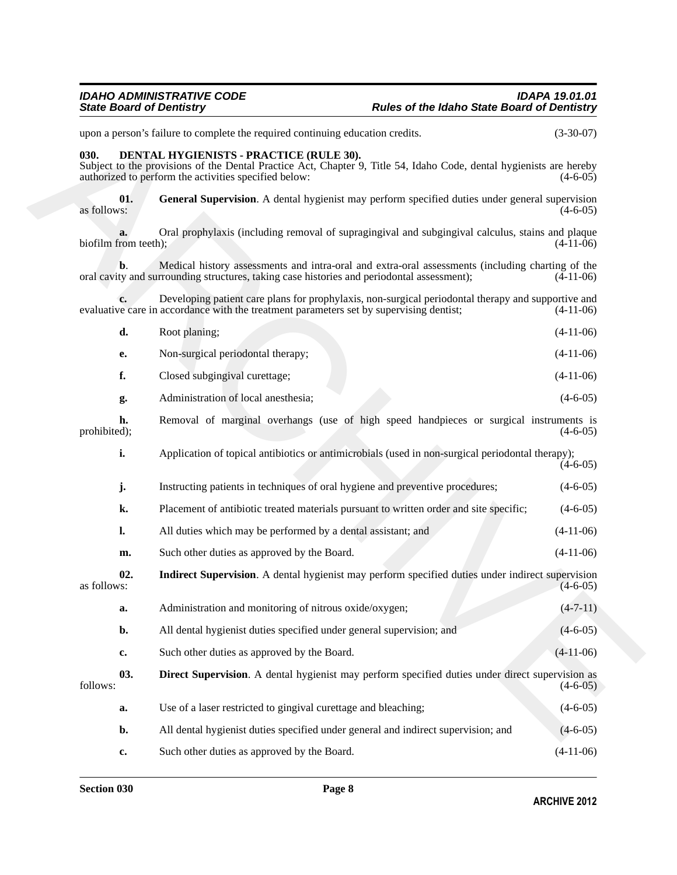# *IDAHO ADMINISTRATIVE CODE IDAPA 19.01.01*

# *State Board of Dentistry Rules of the Idaho State Board of Dentistry*

### <span id="page-7-3"></span><span id="page-7-2"></span><span id="page-7-1"></span><span id="page-7-0"></span>**030. DENTAL HYGIENISTS - PRACTICE (RULE 30).**

|                            | upon a person's failure to complete the required continuing education credits.                                                                                                                                          | $(3-30-07)$    |
|----------------------------|-------------------------------------------------------------------------------------------------------------------------------------------------------------------------------------------------------------------------|----------------|
| 030.                       | DENTAL HYGIENISTS - PRACTICE (RULE 30).<br>Subject to the provisions of the Dental Practice Act, Chapter 9, Title 54, Idaho Code, dental hygienists are hereby<br>authorized to perform the activities specified below: | $(4-6-05)$     |
| 01.<br>as follows:         | General Supervision. A dental hygienist may perform specified duties under general supervision                                                                                                                          | $(4-6-05)$     |
| a.<br>biofilm from teeth); | Oral prophylaxis (including removal of supragingival and subgingival calculus, stains and plaque                                                                                                                        | $(4-11-06)$    |
| b.                         | Medical history assessments and intra-oral and extra-oral assessments (including charting of the<br>oral cavity and surrounding structures, taking case histories and periodontal assessment);                          | $(4-11-06)$    |
| c.                         | Developing patient care plans for prophylaxis, non-surgical periodontal therapy and supportive and<br>evaluative care in accordance with the treatment parameters set by supervising dentist;                           | $(4-11-06)$    |
| d.                         | Root planing;                                                                                                                                                                                                           | $(4-11-06)$    |
| e.                         | Non-surgical periodontal therapy;                                                                                                                                                                                       | $(4-11-06)$    |
| f.                         | Closed subgingival curettage;                                                                                                                                                                                           | $(4-11-06)$    |
| g.                         | Administration of local anesthesia;                                                                                                                                                                                     | $(4-6-05)$     |
| h.<br>prohibited);         | Removal of marginal overhangs (use of high speed handpieces or surgical instruments is                                                                                                                                  | $(4-6-05)$     |
| i.                         | Application of topical antibiotics or antimicrobials (used in non-surgical periodontal therapy);                                                                                                                        | $(4-6-05)$     |
| j.                         | Instructing patients in techniques of oral hygiene and preventive procedures;                                                                                                                                           | $(4-6-05)$     |
| k.                         | Placement of antibiotic treated materials pursuant to written order and site specific;                                                                                                                                  | $(4-6-05)$     |
| l.                         | All duties which may be performed by a dental assistant; and                                                                                                                                                            | $(4-11-06)$    |
| m.                         | Such other duties as approved by the Board.                                                                                                                                                                             | $(4-11-06)$    |
| 02.<br>as follows:         | Indirect Supervision. A dental hygienist may perform specified duties under indirect supervision                                                                                                                        | $(4-6-05)$     |
| a.                         | Administration and monitoring of nitrous oxide/oxygen;                                                                                                                                                                  | $(4 - 7 - 11)$ |
| b.                         | All dental hygienist duties specified under general supervision; and                                                                                                                                                    | $(4-6-05)$     |
| c.                         | Such other duties as approved by the Board.                                                                                                                                                                             | $(4-11-06)$    |
| 03.<br>follows:            | <b>Direct Supervision.</b> A dental hygienist may perform specified duties under direct supervision as                                                                                                                  | $(4-6-05)$     |
| a.                         | Use of a laser restricted to gingival curettage and bleaching;                                                                                                                                                          | $(4-6-05)$     |
| b.                         | All dental hygienist duties specified under general and indirect supervision; and                                                                                                                                       | $(4-6-05)$     |
| c.                         | Such other duties as approved by the Board.                                                                                                                                                                             | $(4-11-06)$    |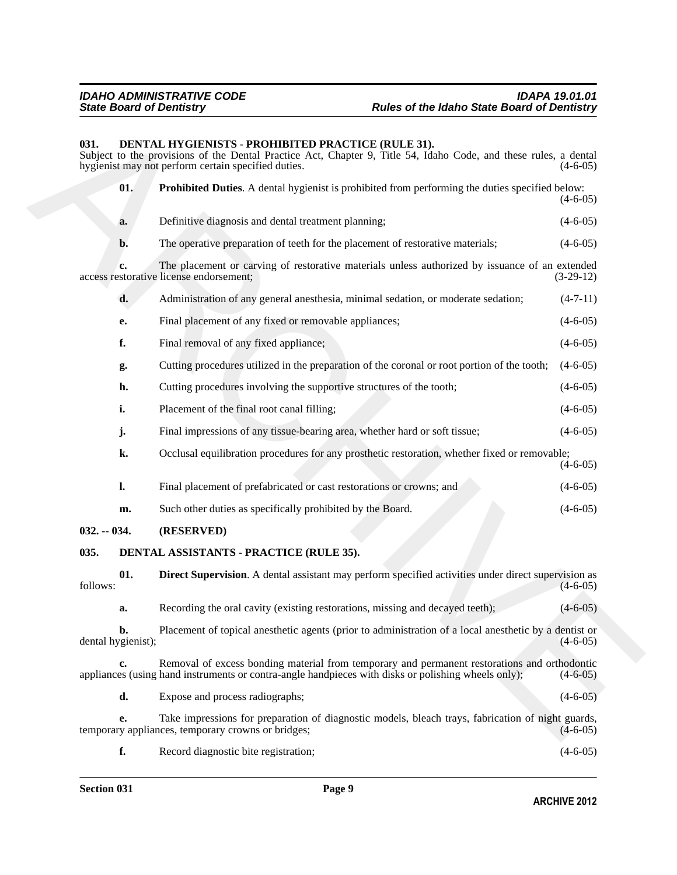#### <span id="page-8-3"></span><span id="page-8-2"></span>**031. DENTAL HYGIENISTS - PROHIBITED PRACTICE (RULE 31).**

**(831.** DENVEAT, ITVATIENDSTS - PROTHERTED PRACTICE (RIUBATI),<br>
Super non-the providence of the Density and Super 2. The S4, flaho Code, and these mixe, a density of probable of Durine, a density and providence of the Den Subject to the provisions of the Dental Practice Act, Chapter 9, Title 54, Idaho Code, and these rules, a dental hygienist may not perform certain specified duties. (4-6-05) (4-6-05) **01. Prohibited Duties**. A dental hygienist is prohibited from performing the duties specified below:  $(4-6-05)$ **a.** Definitive diagnosis and dental treatment planning; (4-6-05) **b.** The operative preparation of teeth for the placement of restorative materials; (4-6-05) **c.** The placement or carving of restorative materials unless authorized by issuance of an extended storative license endorsement; (3-29-12) access restorative license endorsement; **d.** Administration of any general anesthesia, minimal sedation, or moderate sedation; (4-7-11) **e.** Final placement of any fixed or removable appliances; (4-6-05) **f.** Final removal of any fixed appliance; (4-6-05) **g.** Cutting procedures utilized in the preparation of the coronal or root portion of the tooth; (4-6-05) **h.** Cutting procedures involving the supportive structures of the tooth;  $(4-6-05)$ **i.** Placement of the final root canal filling; (4-6-05) **j.** Final impressions of any tissue-bearing area, whether hard or soft tissue; (4-6-05) **k.** Occlusal equilibration procedures for any prosthetic restoration, whether fixed or removable;  $(4-6-05)$ **l.** Final placement of prefabricated or cast restorations or crowns; and  $(4-6-05)$ **m.** Such other duties as specifically prohibited by the Board. (4-6-05) **032. -- 034. (RESERVED) 035. DENTAL ASSISTANTS - PRACTICE (RULE 35). 01. Direct Supervision**. A dental assistant may perform specified activities under direct supervision as (4-6-05)  $f_{\text{follows}}:$  (4-6-05) **a.** Recording the oral cavity (existing restorations, missing and decayed teeth); (4-6-05) **b.** Placement of topical anesthetic agents (prior to administration of a local anesthetic by a dentist or (4-6-05) dental hygienist); **c.** Removal of excess bonding material from temporary and permanent restorations and orthodontic es (using hand instruments or contra-angle handpieces with disks or polishing wheels only); (4-6-05) appliances (using hand instruments or contra-angle handpieces with disks or polishing wheels only); **d.** Expose and process radiographs; (4-6-05) **e.** Take impressions for preparation of diagnostic models, bleach trays, fabrication of night guards,  $\gamma$  appliances, temporary crowns or bridges; temporary appliances, temporary crowns or bridges;

<span id="page-8-1"></span><span id="page-8-0"></span>**f.** Record diagnostic bite registration; (4-6-05)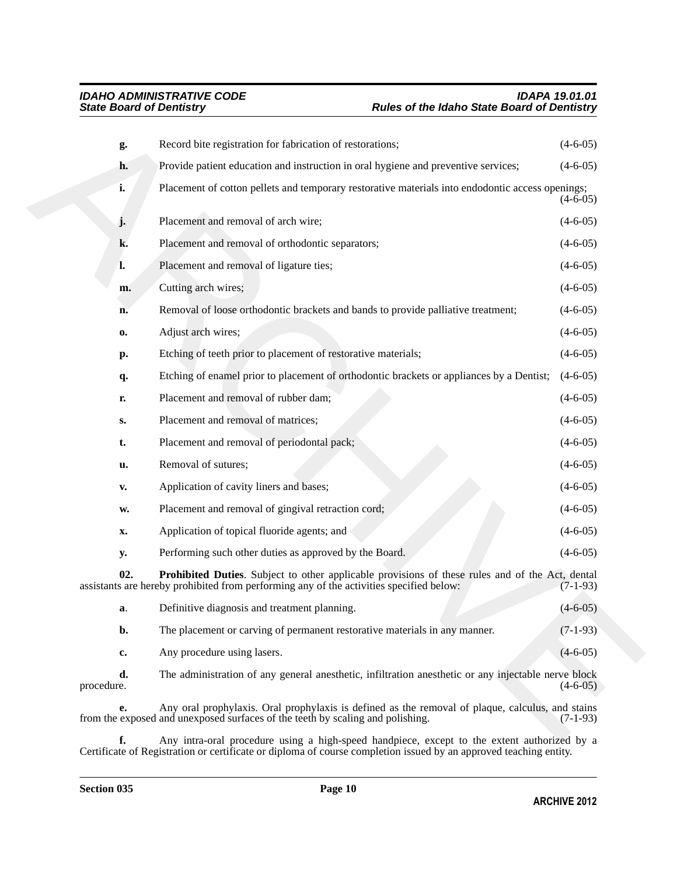| g.               | Record bite registration for fabrication of restorations;                                                                                                                                  | $(4-6-05)$ |
|------------------|--------------------------------------------------------------------------------------------------------------------------------------------------------------------------------------------|------------|
| h.               | Provide patient education and instruction in oral hygiene and preventive services;                                                                                                         | $(4-6-05)$ |
| i.               | Placement of cotton pellets and temporary restorative materials into endodontic access openings;                                                                                           | $(4-6-05)$ |
| j.               | Placement and removal of arch wire;                                                                                                                                                        | $(4-6-05)$ |
| k.               | Placement and removal of orthodontic separators;                                                                                                                                           | $(4-6-05)$ |
| l.               | Placement and removal of ligature ties;                                                                                                                                                    | $(4-6-05)$ |
| m.               | Cutting arch wires;                                                                                                                                                                        | $(4-6-05)$ |
| n.               | Removal of loose orthodontic brackets and bands to provide palliative treatment;                                                                                                           | $(4-6-05)$ |
| 0.               | Adjust arch wires;                                                                                                                                                                         | $(4-6-05)$ |
| р.               | Etching of teeth prior to placement of restorative materials;                                                                                                                              | $(4-6-05)$ |
| q.               | Etching of enamel prior to placement of orthodontic brackets or appliances by a Dentist;                                                                                                   | $(4-6-05)$ |
| r.               | Placement and removal of rubber dam;                                                                                                                                                       | $(4-6-05)$ |
| S.               | Placement and removal of matrices;                                                                                                                                                         | $(4-6-05)$ |
| t.               | Placement and removal of periodontal pack;                                                                                                                                                 | $(4-6-05)$ |
| u.               | Removal of sutures;                                                                                                                                                                        | $(4-6-05)$ |
| V.               | Application of cavity liners and bases;                                                                                                                                                    | $(4-6-05)$ |
| w.               | Placement and removal of gingival retraction cord;                                                                                                                                         | $(4-6-05)$ |
| X.               | Application of topical fluoride agents; and                                                                                                                                                | $(4-6-05)$ |
| y.               | Performing such other duties as approved by the Board.                                                                                                                                     | $(4-6-05)$ |
| 02.              | Prohibited Duties. Subject to other applicable provisions of these rules and of the Act, dental<br>assistants are hereby prohibited from performing any of the activities specified below: | $(7-1-93)$ |
| a.               | Definitive diagnosis and treatment planning.                                                                                                                                               | $(4-6-05)$ |
| b.               | The placement or carving of permanent restorative materials in any manner.                                                                                                                 | $(7-1-93)$ |
| c.               | Any procedure using lasers.                                                                                                                                                                | $(4-6-05)$ |
| d.<br>procedure. | The administration of any general anesthetic, infiltration anesthetic or any injectable nerve block                                                                                        | $(4-6-05)$ |
| e.               | Any oral prophylaxis. Oral prophylaxis is defined as the removal of plaque, calculus, and stains<br>from the exposed and unexposed surfaces of the teeth by scaling and polishing.         | $(7-1-93)$ |
|                  | Any intra-oral procedure using a high-speed handpiece except to the extent authorized by a                                                                                                 |            |

<span id="page-9-0"></span>**f.** Any intra-oral procedure using a high-speed handpiece, except to the extent authorized by a Certificate of Registration or certificate or diploma of course completion issued by an approved teaching entity.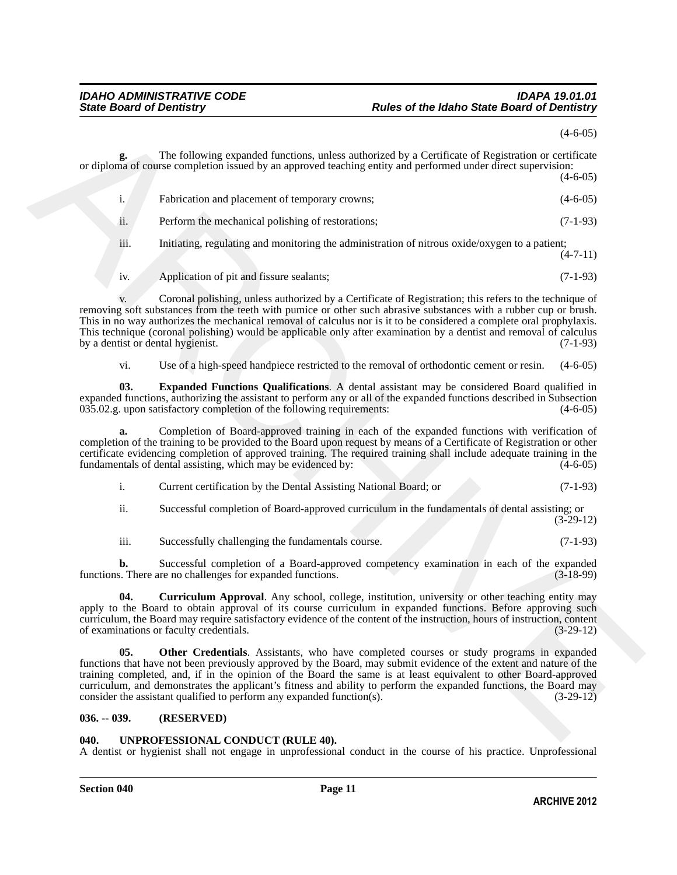|                                         |                                                                                                                                                                                                                                                                                                                                                                                                                                                                                                                                       | $(4-6-05)$  |
|-----------------------------------------|---------------------------------------------------------------------------------------------------------------------------------------------------------------------------------------------------------------------------------------------------------------------------------------------------------------------------------------------------------------------------------------------------------------------------------------------------------------------------------------------------------------------------------------|-------------|
|                                         | The following expanded functions, unless authorized by a Certificate of Registration or certificate<br>or diploma of course completion issued by an approved teaching entity and performed under direct supervision:                                                                                                                                                                                                                                                                                                                  | $(4-6-05)$  |
| i.                                      | Fabrication and placement of temporary crowns;                                                                                                                                                                                                                                                                                                                                                                                                                                                                                        | $(4-6-05)$  |
| ii.                                     | Perform the mechanical polishing of restorations;                                                                                                                                                                                                                                                                                                                                                                                                                                                                                     | $(7-1-93)$  |
| iii.                                    | Initiating, regulating and monitoring the administration of nitrous oxide/oxygen to a patient;                                                                                                                                                                                                                                                                                                                                                                                                                                        | $(4-7-11)$  |
| iv.                                     | Application of pit and fissure sealants;                                                                                                                                                                                                                                                                                                                                                                                                                                                                                              | $(7-1-93)$  |
| V.<br>by a dentist or dental hygienist. | Coronal polishing, unless authorized by a Certificate of Registration; this refers to the technique of<br>removing soft substances from the teeth with pumice or other such abrasive substances with a rubber cup or brush.<br>This in no way authorizes the mechanical removal of calculus nor is it to be considered a complete oral prophylaxis.<br>This technique (coronal polishing) would be applicable only after examination by a dentist and removal of calculus                                                             | $(7-1-93)$  |
| vi.                                     | Use of a high-speed handpiece restricted to the removal of orthodontic cement or resin.                                                                                                                                                                                                                                                                                                                                                                                                                                               | $(4-6-05)$  |
| 03.                                     | <b>Expanded Functions Qualifications.</b> A dental assistant may be considered Board qualified in<br>expanded functions, authorizing the assistant to perform any or all of the expanded functions described in Subsection<br>035.02.g. upon satisfactory completion of the following requirements:                                                                                                                                                                                                                                   | $(4-6-05)$  |
| a.                                      | Completion of Board-approved training in each of the expanded functions with verification of<br>completion of the training to be provided to the Board upon request by means of a Certificate of Registration or other<br>certificate evidencing completion of approved training. The required training shall include adequate training in the<br>fundamentals of dental assisting, which may be evidenced by:                                                                                                                        | $(4-6-05)$  |
| i.                                      | Current certification by the Dental Assisting National Board; or                                                                                                                                                                                                                                                                                                                                                                                                                                                                      | $(7-1-93)$  |
| ii.                                     | Successful completion of Board-approved curriculum in the fundamentals of dental assisting; or                                                                                                                                                                                                                                                                                                                                                                                                                                        | $(3-29-12)$ |
| iii.                                    | Successfully challenging the fundamentals course.                                                                                                                                                                                                                                                                                                                                                                                                                                                                                     | $(7-1-93)$  |
| b.                                      | Successful completion of a Board-approved competency examination in each of the expanded<br>functions. There are no challenges for expanded functions.                                                                                                                                                                                                                                                                                                                                                                                | $(3-18-99)$ |
| 04.                                     | <b>Curriculum Approval.</b> Any school, college, institution, university or other teaching entity may<br>apply to the Board to obtain approval of its course curriculum in expanded functions. Before approving such<br>curriculum, the Board may require satisfactory evidence of the content of the instruction, hours of instruction, content<br>of examinations or faculty credentials.                                                                                                                                           | $(3-29-12)$ |
| 05.                                     | <b>Other Credentials.</b> Assistants, who have completed courses or study programs in expanded<br>functions that have not been previously approved by the Board, may submit evidence of the extent and nature of the<br>training completed, and, if in the opinion of the Board the same is at least equivalent to other Board-approved<br>curriculum, and demonstrates the applicant's fitness and ability to perform the expanded functions, the Board may<br>consider the assistant qualified to perform any expanded function(s). | $(3-29-12)$ |
| $036. - 039.$                           | (RESERVED)                                                                                                                                                                                                                                                                                                                                                                                                                                                                                                                            |             |
| 040.                                    | <b>IINPROFESSIONAL CONDUCT (RIILE 40).</b>                                                                                                                                                                                                                                                                                                                                                                                                                                                                                            |             |

<span id="page-10-1"></span><span id="page-10-0"></span>

|  | Current certification by the Dental Assisting National Board; or | $(7-1-93)$ |
|--|------------------------------------------------------------------|------------|
|--|------------------------------------------------------------------|------------|

### <span id="page-10-2"></span>**036. -- 039. (RESERVED)**

### <span id="page-10-3"></span>**040. UNPROFESSIONAL CONDUCT (RULE 40).**

A dentist or hygienist shall not engage in unprofessional conduct in the course of his practice. Unprofessional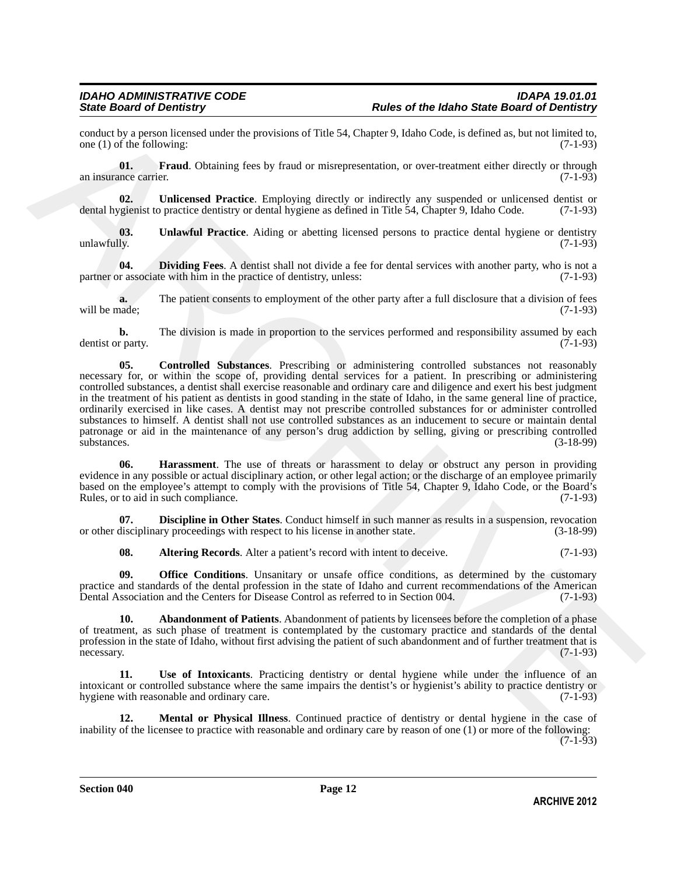conduct by a person licensed under the provisions of Title 54, Chapter 9, Idaho Code, is defined as, but not limited to, one (1) of the following: (7-1-93) one  $(1)$  of the following:

<span id="page-11-6"></span>**01. Fraud**. Obtaining fees by fraud or misrepresentation, or over-treatment either directly or through an insurance carrier. (7-1-93)

<span id="page-11-10"></span>**02. Unlicensed Practice**. Employing directly or indirectly any suspended or unlicensed dentist or dental hygienist to practice dentistry or dental hygiene as defined in Title 54, Chapter 9, Idaho Code. (7-1-93)

<span id="page-11-0"></span>**03.** Unlawful Practice. Aiding or abetting licensed persons to practice dental hygiene or dentistry unlawfully. (7-1-93) unlawfully. (7-1-93)

<span id="page-11-5"></span>**04. Dividing Fees**. A dentist shall not divide a fee for dental services with another party, who is not a pr associate with him in the practice of dentistry, unless: (7-1-93) partner or associate with him in the practice of dentistry, unless:

**a.** The patient consents to employment of the other party after a full disclosure that a division of fees will be made; (7-1-93) will be made;  $(7-1-93)$ 

<span id="page-11-3"></span>**b.** The division is made in proportion to the services performed and responsibility assumed by each r party. (7-1-93) dentist or party.

condact by present interestigation of This 44. Chapter 9, Individual is considerably present into the same of the same of the same of the same of the same of the same of the same of the same of the same of the same of the **05. Controlled Substances**. Prescribing or administering controlled substances not reasonably necessary for, or within the scope of, providing dental services for a patient. In prescribing or administering controlled substances, a dentist shall exercise reasonable and ordinary care and diligence and exert his best judgment in the treatment of his patient as dentists in good standing in the state of Idaho, in the same general line of practice, ordinarily exercised in like cases. A dentist may not prescribe controlled substances for or administer controlled substances to himself. A dentist shall not use controlled substances as an inducement to secure or maintain dental patronage or aid in the maintenance of any person's drug addiction by selling, giving or prescribing controlled  $\frac{1}{3}$ substances. (3-18-99)

<span id="page-11-7"></span>**06. Harassment**. The use of threats or harassment to delay or obstruct any person in providing evidence in any possible or actual disciplinary action, or other legal action; or the discharge of an employee primarily based on the employee's attempt to comply with the provisions of Title 54, Chapter 9, Idaho Code, or the Board's Rules, or to aid in such compliance. (7-1-93)

**07. Discipline in Other States**. Conduct himself in such manner as results in a suspension, revocation or other disciplinary proceedings with respect to his license in another state. (3-18-99)

<span id="page-11-9"></span><span id="page-11-4"></span><span id="page-11-2"></span><span id="page-11-1"></span>**08. Altering Records**. Alter a patient's record with intent to deceive. (7-1-93)

**09. Office Conditions**. Unsanitary or unsafe office conditions, as determined by the customary practice and standards of the dental profession in the state of Idaho and current recommendations of the American Dental Association and the Centers for Disease Control as referred to in Section 004. (7-1-93)

**10. Abandonment of Patients**. Abandonment of patients by licensees before the completion of a phase of treatment, as such phase of treatment is contemplated by the customary practice and standards of the dental profession in the state of Idaho, without first advising the patient of such abandonment and of further treatment that is necessary. (7-1-93)

<span id="page-11-11"></span>**11. Use of Intoxicants**. Practicing dentistry or dental hygiene while under the influence of an intoxicant or controlled substance where the same impairs the dentist's or hygienist's ability to practice dentistry or hygiene with reasonable and ordinary care. (7-1-93)

<span id="page-11-8"></span>**12. Mental or Physical Illness**. Continued practice of dentistry or dental hygiene in the case of inability of the licensee to practice with reasonable and ordinary care by reason of one (1) or more of the following:  $(7-1-93)$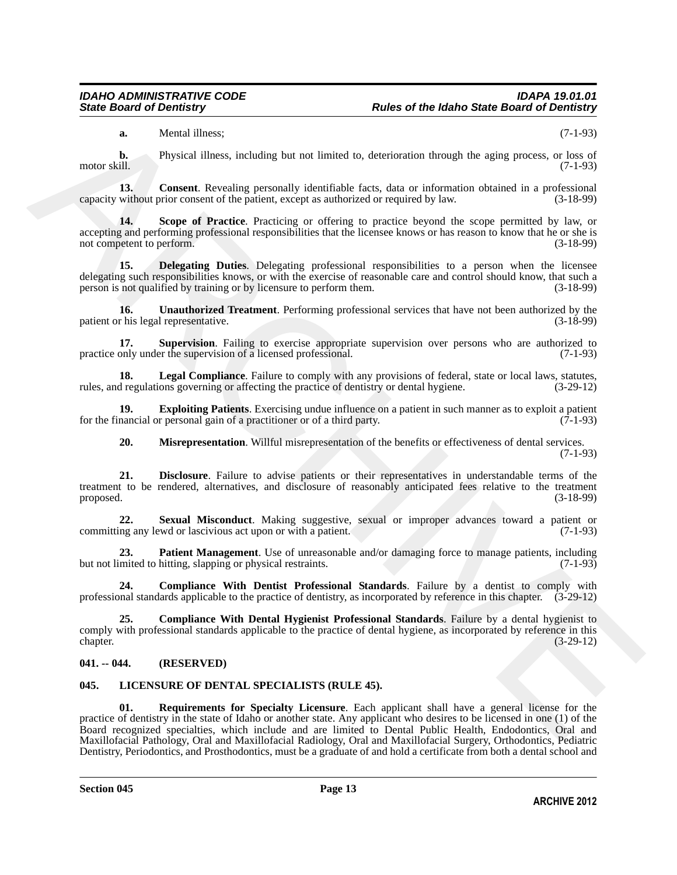<span id="page-12-4"></span>**a.** Mental illness; (7-1-93)

**b.** Physical illness, including but not limited to, deterioration through the aging process, or loss of motor skill.  $(7-1-93)$ 

**13. Consent**. Revealing personally identifiable facts, data or information obtained in a professional without prior consent of the patient, except as authorized or required by law. (3-18-99) capacity without prior consent of the patient, except as authorized or required by law.

<span id="page-12-11"></span>**14. Scope of Practice**. Practicing or offering to practice beyond the scope permitted by law, or accepting and performing professional responsibilities that the licensee knows or has reason to know that he or she is not competent to perform. (3-18-99)

<span id="page-12-5"></span>**15. Delegating Duties**. Delegating professional responsibilities to a person when the licensee delegating such responsibilities knows, or with the exercise of reasonable care and control should know, that such a person is not qualified by training or by licensure to perform them. (3-18-99)

<span id="page-12-14"></span>**16.** Unauthorized Treatment. Performing professional services that have not been authorized by the rhis legal representative. (3-18-99) patient or his legal representative.

<span id="page-12-13"></span>**17. Supervision**. Failing to exercise appropriate supervision over persons who are authorized to only under the supervision of a licensed professional. (7-1-93) practice only under the supervision of a licensed professional.

<span id="page-12-8"></span>**18.** Legal Compliance. Failure to comply with any provisions of federal, state or local laws, statutes, d regulations governing or affecting the practice of dentistry or dental hygiene. (3-29-12) rules, and regulations governing or affecting the practice of dentistry or dental hygiene.

**19. Exploiting Patients**. Exercising undue influence on a patient in such manner as to exploit a patient nancial or personal gain of a practitioner or of a third party. (7-1-93) for the financial or personal gain of a practitioner or of a third party.

<span id="page-12-12"></span><span id="page-12-9"></span><span id="page-12-7"></span><span id="page-12-6"></span>**20. Misrepresentation**. Willful misrepresentation of the benefits or effectiveness of dental services.

(7-1-93)

**21. Disclosure**. Failure to advise patients or their representatives in understandable terms of the treatment to be rendered, alternatives, and disclosure of reasonably anticipated fees relative to the treatment proposed. (3-18-99)

**22. Sexual Misconduct**. Making suggestive, sexual or improper advances toward a patient or ng any lewd or lascivious act upon or with a patient. (7-1-93) committing any lewd or lascivious act upon or with a patient.

<span id="page-12-10"></span>**23. Patient Management**. Use of unreasonable and/or damaging force to manage patients, including mited to hitting, slapping or physical restraints. (7-1-93) but not limited to hitting, slapping or physical restraints.

<span id="page-12-3"></span>**24. Compliance With Dentist Professional Standards**. Failure by a dentist to comply with professional standards applicable to the practice of dentistry, as incorporated by reference in this chapter. (3-29-12)

<span id="page-12-2"></span>**25. Compliance With Dental Hygienist Professional Standards**. Failure by a dental hygienist to comply with professional standards applicable to the practice of dental hygiene, as incorporated by reference in this chapter. (3-29-12) chapter. (3-29-12)

### **041. -- 044. (RESERVED)**

# <span id="page-12-1"></span><span id="page-12-0"></span>**045. LICENSURE OF DENTAL SPECIALISTS (RULE 45).**

A Memal Hinese, including bur or limited by determinion funnyls to aging process,  $n^2 = 30$ <br>
APS (CHEM Hines, heading process, the constrained by determiniscent and constrained by the second system of  $(n+1)$ )<br>
Since allow **01. Requirements for Specialty Licensure**. Each applicant shall have a general license for the practice of dentistry in the state of Idaho or another state. Any applicant who desires to be licensed in one (1) of the Board recognized specialties, which include and are limited to Dental Public Health, Endodontics, Oral and Maxillofacial Pathology, Oral and Maxillofacial Radiology, Oral and Maxillofacial Surgery, Orthodontics, Pediatric Dentistry, Periodontics, and Prosthodontics, must be a graduate of and hold a certificate from both a dental school and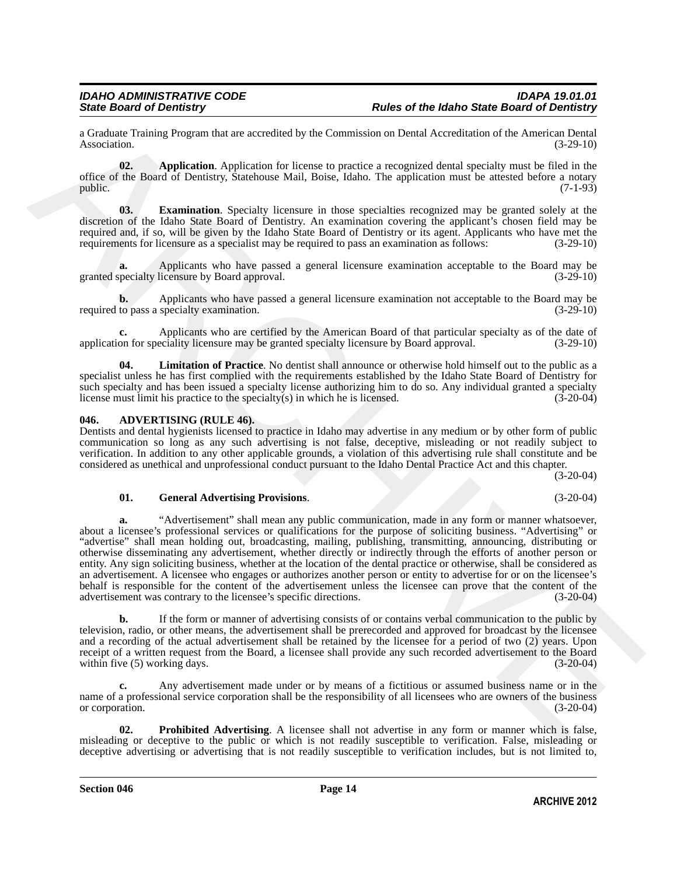a Graduate Training Program that are accredited by the Commission on Dental Accreditation of the American Dental Association. (3-29-10)

<span id="page-13-3"></span>**02. Application**. Application for license to practice a recognized dental specialty must be filed in the office of the Board of Dentistry, Statehouse Mail, Boise, Idaho. The application must be attested before a notary public.  $(7-1-93)$ 

<span id="page-13-4"></span>**03. Examination**. Specialty licensure in those specialties recognized may be granted solely at the discretion of the Idaho State Board of Dentistry. An examination covering the applicant's chosen field may be required and, if so, will be given by the Idaho State Board of Dentistry or its agent. Applicants who have met the requirements for licensure as a specialist may be required to pass an examination as follows: (3-29-10)

**a.** Applicants who have passed a general licensure examination acceptable to the Board may be pecialty licensure by Board approval. (3-29-10) granted specialty licensure by Board approval.

**b.** Applicants who have passed a general licensure examination not acceptable to the Board may be to pass a specialty examination.  $(3-29-10)$ required to pass a specialty examination.

Applicants who are certified by the American Board of that particular specialty as of the date of eciality licensure may be granted specialty licensure by Board approval. (3-29-10) application for speciality licensure may be granted specialty licensure by Board approval.

<span id="page-13-5"></span>**04. Limitation of Practice**. No dentist shall announce or otherwise hold himself out to the public as a specialist unless he has first complied with the requirements established by the Idaho State Board of Dentistry for such specialty and has been issued a specialty license authorizing him to do so. Any individual granted a specialty license must limit his practice to the specialty(s) in which he is licensed. (3-20-04)

#### <span id="page-13-0"></span>**046. ADVERTISING (RULE 46).**

Dentists and dental hygienists licensed to practice in Idaho may advertise in any medium or by other form of public communication so long as any such advertising is not false, deceptive, misleading or not readily subject to verification. In addition to any other applicable grounds, a violation of this advertising rule shall constitute and be considered as unethical and unprofessional conduct pursuant to the Idaho Dental Practice Act and this chapter. (3-20-04)

#### <span id="page-13-1"></span>**01. General Advertising Provisions**. (3-20-04)

s Grodoste Tosheng Program that an accrosion by the Commission on Denti Accrosion of the American Post 18 (324.0)<br>
Application Application (324.0)<br>
ARCHIVES TO RESULT IN CONSULT INSTRUCT to Dentisy and Consumer Consumer C **a.** "Advertisement" shall mean any public communication, made in any form or manner whatsoever, about a licensee's professional services or qualifications for the purpose of soliciting business. "Advertising" or "advertise" shall mean holding out, broadcasting, mailing, publishing, transmitting, announcing, distributing or otherwise disseminating any advertisement, whether directly or indirectly through the efforts of another person or entity. Any sign soliciting business, whether at the location of the dental practice or otherwise, shall be considered as an advertisement. A licensee who engages or authorizes another person or entity to advertise for or on the licensee's behalf is responsible for the content of the advertisement unless the licensee can prove that the content of the advertisement was contrary to the licensee's specific directions. (3-20-04)

**b.** If the form or manner of advertising consists of or contains verbal communication to the public by television, radio, or other means, the advertisement shall be prerecorded and approved for broadcast by the licensee and a recording of the actual advertisement shall be retained by the licensee for a period of two (2) years. Upon receipt of a written request from the Board, a licensee shall provide any such recorded advertisement to the Board within five (5) working days. (3-20-04) within five  $(5)$  working days.

**c.** Any advertisement made under or by means of a fictitious or assumed business name or in the name of a professional service corporation shall be the responsibility of all licensees who are owners of the business or corporation. (3-20-04)

<span id="page-13-2"></span>**02. Prohibited Advertising**. A licensee shall not advertise in any form or manner which is false, misleading or deceptive to the public or which is not readily susceptible to verification. False, misleading or deceptive advertising or advertising that is not readily susceptible to verification includes, but is not limited to,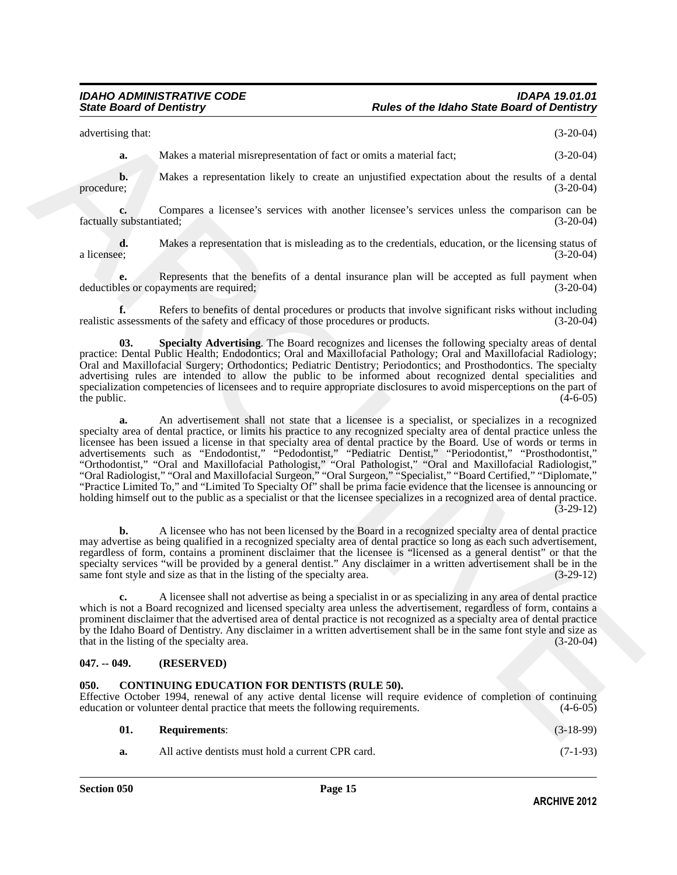advertising that: (3-20-04)

**a.** Makes a material misrepresentation of fact or omits a material fact; (3-20-04)

**b.** Makes a representation likely to create an unjustified expectation about the results of a dental procedure; (3-20-04)

**c.** Compares a licensee's services with another licensee's services unless the comparison can be substantiated: (3-20-04) factually substantiated;

**d.** Makes a representation that is misleading as to the credentials, education, or the licensing status of a licensee; (3-20-04) a licensee; (3-20-04)

**e.** Represents that the benefits of a dental insurance plan will be accepted as full payment when deductibles or copayments are required; (3-20-04)

**f.** Refers to benefits of dental procedures or products that involve significant risks without including assessments of the safety and efficacy of those procedures or products.  $(3-20-04)$ realistic assessments of the safety and efficacy of those procedures or products.

<span id="page-14-0"></span>**03. Specialty Advertising**. The Board recognizes and licenses the following specialty areas of dental practice: Dental Public Health; Endodontics; Oral and Maxillofacial Pathology; Oral and Maxillofacial Radiology; Oral and Maxillofacial Surgery; Orthodontics; Pediatric Dentistry; Periodontics; and Prosthodontics. The specialty advertising rules are intended to allow the public to be informed about recognized dental specialities and specialization competencies of licensees and to require appropriate disclosures to avoid misperceptions on the part of the public.  $(4-6-05)$ 

ARCHIVE **a.** An advertisement shall not state that a licensee is a specialist, or specializes in a recognized specialty area of dental practice, or limits his practice to any recognized specialty area of dental practice unless the licensee has been issued a license in that specialty area of dental practice by the Board. Use of words or terms in advertisements such as "Endodontist," "Pedodontist," "Pediatric Dentist," "Periodontist," "Prosthodontist," "Orthodontist," "Oral and Maxillofacial Pathologist," "Oral Pathologist," "Oral and Maxillofacial Radiologist," "Oral Radiologist," "Oral and Maxillofacial Surgeon," "Oral Surgeon," "Specialist," "Board Certified," "Diplomate," "Practice Limited To," and "Limited To Specialty Of" shall be prima facie evidence that the licensee is announcing or holding himself out to the public as a specialist or that the licensee specializes in a recognized area of dental practice.  $(3-29-12)$ 

**b.** A licensee who has not been licensed by the Board in a recognized specialty area of dental practice may advertise as being qualified in a recognized specialty area of dental practice so long as each such advertisement, regardless of form, contains a prominent disclaimer that the licensee is "licensed as a general dentist" or that the specialty services "will be provided by a general dentist." Any disclaimer in a written advertisement shall be in the same font style and size as that in the listing of the specialty area. (3-29-12) same font style and size as that in the listing of the specialty area.

**c.** A licensee shall not advertise as being a specialist in or as specializing in any area of dental practice which is not a Board recognized and licensed specialty area unless the advertisement, regardless of form, contains a prominent disclaimer that the advertised area of dental practice is not recognized as a specialty area of dental practice by the Idaho Board of Dentistry. Any disclaimer in a written advertisement shall be in the same font style and size as that in the listing of the specialty area.

### **047. -- 049. (RESERVED)**

#### <span id="page-14-1"></span>**050. CONTINUING EDUCATION FOR DENTISTS (RULE 50).**

Effective October 1994, renewal of any active dental license will require evidence of completion of continuing education or volunteer dental practice that meets the following requirements. (4-6-05) education or volunteer dental practice that meets the following requirements.

<span id="page-14-2"></span>

| <b>Requirements:</b>                              | $(3-18-99)$ |
|---------------------------------------------------|-------------|
| All active dentists must hold a current CPR card. | $(7-1-93)$  |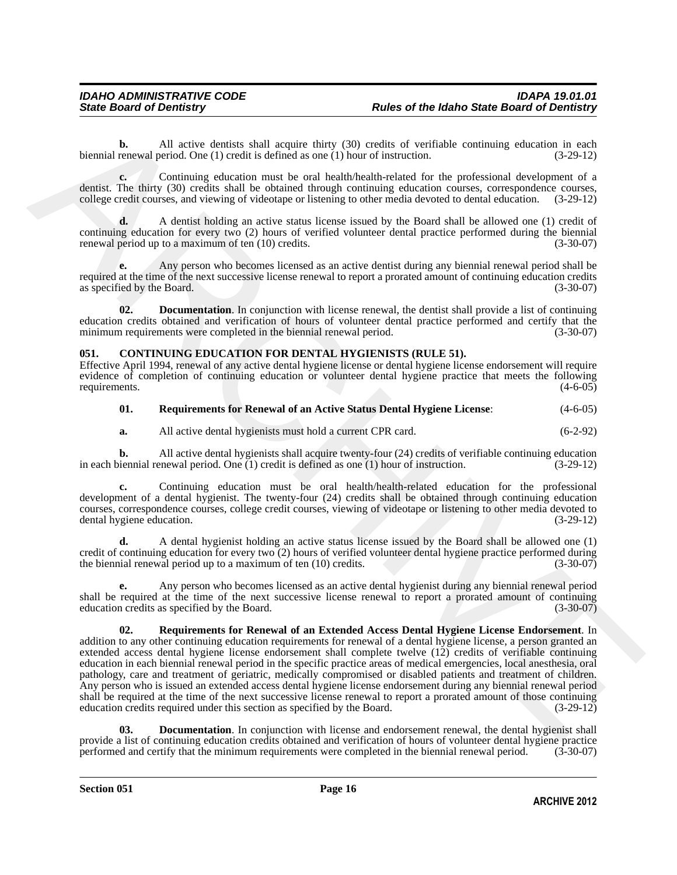**b.** All active dentists shall acquire thirty (30) credits of verifiable continuing education in each renewal period. One (1) credit is defined as one (1) hour of instruction. (3-29-12) biennial renewal period. One  $(1)$  credit is defined as one  $(1)$  hour of instruction.

**c.** Continuing education must be oral health/health-related for the professional development of a dentist. The thirty (30) credits shall be obtained through continuing education courses, correspondence courses, college credit courses, and viewing of videotape or listening to other media devoted to dental education. (3college credit courses, and viewing of videotape or listening to other media devoted to dental education.

**d.** A dentist holding an active status license issued by the Board shall be allowed one (1) credit of continuing education for every two (2) hours of verified volunteer dental practice performed during the biennial renewal period up to a maximum of ten (10) credits. (3-30-07)

**e.** Any person who becomes licensed as an active dentist during any biennial renewal period shall be required at the time of the next successive license renewal to report a prorated amount of continuing education credits as specified by the Board. (3-30-07)

<span id="page-15-4"></span>**02. Documentation**. In conjunction with license renewal, the dentist shall provide a list of continuing education credits obtained and verification of hours of volunteer dental practice performed and certify that the minimum requirements were completed in the biennial renewal period. (3-30-07)

#### <span id="page-15-0"></span>**051. CONTINUING EDUCATION FOR DENTAL HYGIENISTS (RULE 51).**

Effective April 1994, renewal of any active dental hygiene license or dental hygiene license endorsement will require evidence of completion of continuing education or volunteer dental hygiene practice that meets the following requirements. (4-6-05) requirements.

#### <span id="page-15-2"></span>**01. Requirements for Renewal of an Active Status Dental Hygiene License**: (4-6-05)

**a.** All active dental hygienists must hold a current CPR card.  $(6-2-92)$ 

**b.** All active dental hygienists shall acquire twenty-four (24) credits of verifiable continuing education initial renewal period. One (1) credit is defined as one (1) hour of instruction. (3-29-12) in each biennial renewal period. One  $(1)$  credit is defined as one  $(1)$  hour of instruction.

**c.** Continuing education must be oral health/health-related education for the professional development of a dental hygienist. The twenty-four (24) credits shall be obtained through continuing education courses, correspondence courses, college credit courses, viewing of videotape or listening to other media devoted to dental hygiene education. (3-29-12)

**d.** A dental hygienist holding an active status license issued by the Board shall be allowed one (1) credit of continuing education for every two (2) hours of verified volunteer dental hygiene practice performed during<br>the biennial renewal period up to a maximum of ten (10) credits. the biennial renewal period up to a maximum of ten  $(10)$  credits.

<span id="page-15-3"></span>**e.** Any person who becomes licensed as an active dental hygienist during any biennial renewal period shall be required at the time of the next successive license renewal to report a prorated amount of continuing education credits as specified by the Board. (3-30-07) education credits as specified by the Board.

ARCHIVE **02. Requirements for Renewal of an Extended Access Dental Hygiene License Endorsement**. In addition to any other continuing education requirements for renewal of a dental hygiene license, a person granted an extended access dental hygiene license endorsement shall complete twelve (12) credits of verifiable continuing education in each biennial renewal period in the specific practice areas of medical emergencies, local anesthesia, oral pathology, care and treatment of geriatric, medically compromised or disabled patients and treatment of children. Any person who is issued an extended access dental hygiene license endorsement during any biennial renewal period shall be required at the time of the next successive license renewal to report a prorated amount of those continuing education credits required under this section as specified by the Board. (3-29-12) education credits required under this section as specified by the Board.

<span id="page-15-1"></span>**03. Documentation**. In conjunction with license and endorsement renewal, the dental hygienist shall provide a list of continuing education credits obtained and verification of hours of volunteer dental hygiene practice<br>performed and certify that the minimum requirements were completed in the biennial renewal period. (3-3 performed and certify that the minimum requirements were completed in the biennial renewal period.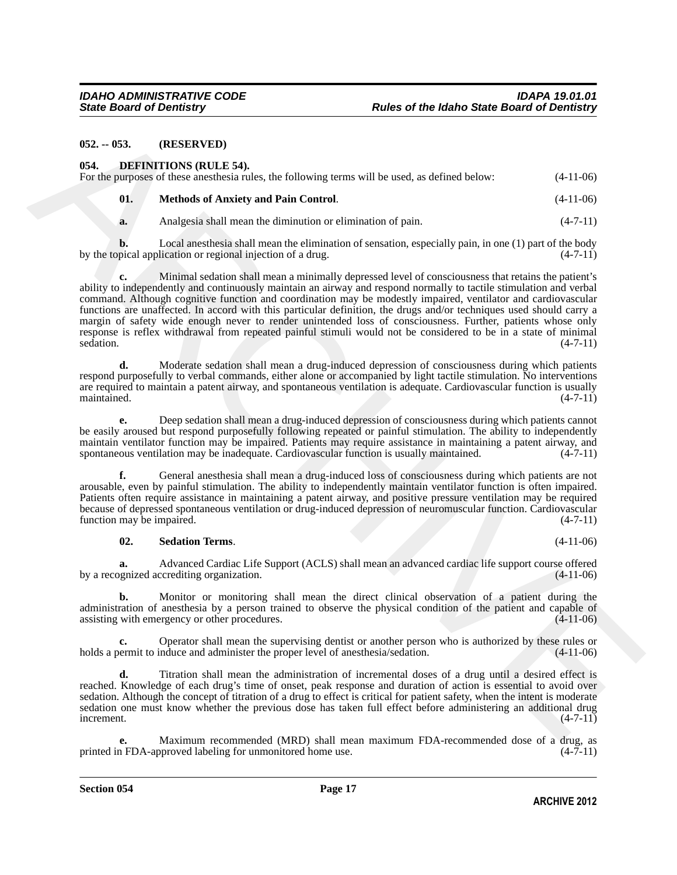#### **052. -- 053. (RESERVED)**

<span id="page-16-1"></span><span id="page-16-0"></span>

| 054. | <b>DEFINITIONS (RULE 54).</b><br>For the purposes of these anesthesia rules, the following terms will be used, as defined below: | $(4-11-06)$ |
|------|----------------------------------------------------------------------------------------------------------------------------------|-------------|
| 01.  | <b>Methods of Anxiety and Pain Control.</b>                                                                                      | $(4-11-06)$ |
| a.   | Analgesia shall mean the diminution or elimination of pain.                                                                      | $(4-7-11)$  |

**b.** Local anesthesia shall mean the elimination of sensation, especially pain, in one (1) part of the body pical application or regional injection of a drug.  $(4-7-11)$ by the topical application or regional injection of a drug.

**68.3.** (RESERVED)<br>
68. • **OSERVED (86. • CALLE S4.** 6 following terms will be used, as defined below. (4-11-06)<br>
For the present of the smoothed and terms in the following terms will be used, as defined below. (4-11-06)<br> **c.** Minimal sedation shall mean a minimally depressed level of consciousness that retains the patient's ability to independently and continuously maintain an airway and respond normally to tactile stimulation and verbal command. Although cognitive function and coordination may be modestly impaired, ventilator and cardiovascular functions are unaffected. In accord with this particular definition, the drugs and/or techniques used should carry a margin of safety wide enough never to render unintended loss of consciousness. Further, patients whose only response is reflex withdrawal from repeated painful stimuli would not be considered to be in a state of minimal sedation.  $(4-7-11)$ sedation. (4-7-11)

**d.** Moderate sedation shall mean a drug-induced depression of consciousness during which patients respond purposefully to verbal commands, either alone or accompanied by light tactile stimulation. No interventions are required to maintain a patent airway, and spontaneous ventilation is adequate. Cardiovascular function is usually maintained. (4-7-11)

**e.** Deep sedation shall mean a drug-induced depression of consciousness during which patients cannot be easily aroused but respond purposefully following repeated or painful stimulation. The ability to independently maintain ventilator function may be impaired. Patients may require assistance in maintaining a patent airway, and<br>spontaneous ventilation may be inadequate. Cardiovascular function is usually maintained. (4-7-11) spontaneous ventilation may be inadequate. Cardiovascular function is usually maintained.

**f.** General anesthesia shall mean a drug-induced loss of consciousness during which patients are not arousable, even by painful stimulation. The ability to independently maintain ventilator function is often impaired. Patients often require assistance in maintaining a patent airway, and positive pressure ventilation may be required because of depressed spontaneous ventilation or drug-induced depression of neuromuscular function. Cardiovascular function may be impaired. (4-7-11) function may be impaired.

#### <span id="page-16-2"></span>**02. Sedation Terms**. (4-11-06)

**a.** Advanced Cardiac Life Support (ACLS) shall mean an advanced cardiac life support course offered by a recognized accrediting organization.

**b.** Monitor or monitoring shall mean the direct clinical observation of a patient during the administration of anesthesia by a person trained to observe the physical condition of the patient and capable of assisting with emergency or other procedures. (4-11-06) assisting with emergency or other procedures.

**c.** Operator shall mean the supervising dentist or another person who is authorized by these rules or holds a permit to induce and administer the proper level of anesthesia/sedation.  $(4-11-06)$ 

**d.** Titration shall mean the administration of incremental doses of a drug until a desired effect is reached. Knowledge of each drug's time of onset, peak response and duration of action is essential to avoid over sedation. Although the concept of titration of a drug to effect is critical for patient safety, when the intent is moderate sedation one must know whether the previous dose has taken full effect before administering an additional drug  $\blacksquare$ increment.  $(4-7-11)$ 

Maximum recommended (MRD) shall mean maximum FDA-recommended dose of a drug, as oproved labeling for unmonitored home use.  $(4-7-11)$ printed in FDA-approved labeling for unmonitored home use.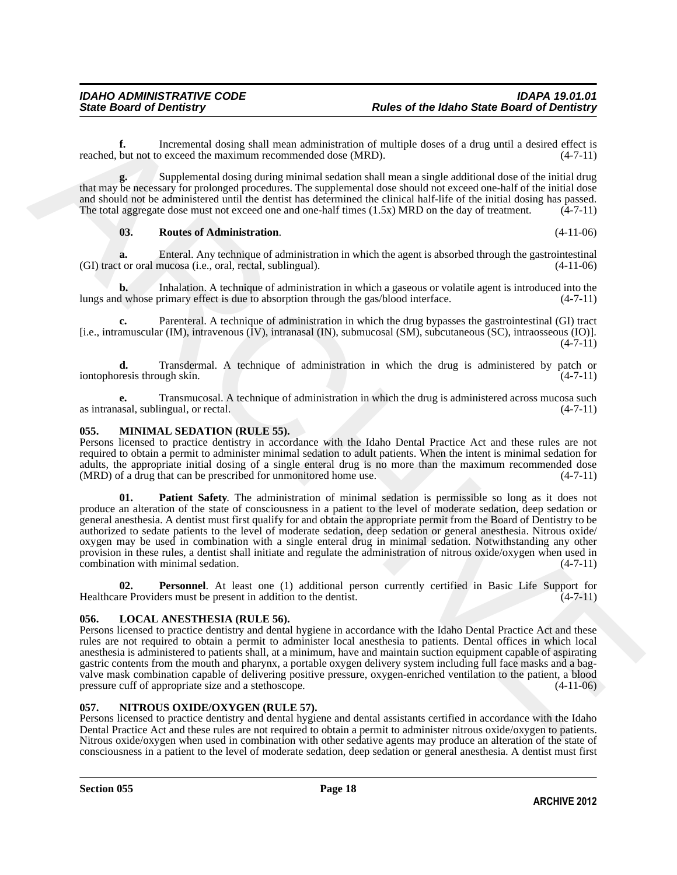**f.** Incremental dosing shall mean administration of multiple doses of a drug until a desired effect is but not to exceed the maximum recommended dose (MRD).  $(4-7-11)$ reached, but not to exceed the maximum recommended dose (MRD).

**g.** Supplemental dosing during minimal sedation shall mean a single additional dose of the initial drug that may be necessary for prolonged procedures. The supplemental dose should not exceed one-half of the initial dose and should not be administered until the dentist has determined the clinical half-life of the initial dosing has passed. The total aggregate dose must not exceed one and one-half times  $(1.5x)$  MRD on the day of treatment.  $(4-7-11)$ 

#### <span id="page-17-1"></span>**03. Routes of Administration**. (4-11-06)

**a.** Enteral. Any technique of administration in which the agent is absorbed through the gastrointestinal t or oral mucosa (i.e., oral, rectal, sublingual).  $(GI)$  tract or oral mucosa (i.e., oral, rectal, sublingual).

**b.** Inhalation. A technique of administration in which a gaseous or volatile agent is introduced into the d whose primary effect is due to absorption through the gas/blood interface.  $(4-7-11)$ lungs and whose primary effect is due to absorption through the gas/blood interface.

**c.** Parenteral. A technique of administration in which the drug bypasses the gastrointestinal (GI) tract [i.e., intramuscular (IM), intravenous (IV), intranasal (IN), submucosal (SM), subcutaneous (SC), intraosseous (IO)].  $(4 - 7 - 11)$ 

**d.** Transdermal. A technique of administration in which the drug is administered by patch or resis through skin. (4-7-11) iontophoresis through skin.

**e.** Transmucosal. A technique of administration in which the drug is administered across mucosa such asal, sublingual, or rectal. (4-7-11) as intranasal, sublingual, or rectal.

#### <span id="page-17-3"></span>**055. MINIMAL SEDATION (RULE 55).**

<span id="page-17-4"></span>Persons licensed to practice dentistry in accordance with the Idaho Dental Practice Act and these rules are not required to obtain a permit to administer minimal sedation to adult patients. When the intent is minimal sedation for adults, the appropriate initial dosing of a single enteral drug is no more than the maximum recommended dose (MRD) of a drug that can be prescribed for unmonitored home use. (4-7-11)  $(MRD)$  of a drug that can be prescribed for unmonitored home use.

rescale, for the later point in the three methods and the state of the state of the state of the state of the state of the state of the state of the state of the state of the state of the state of the state of the state o **01. Patient Safety**. The administration of minimal sedation is permissible so long as it does not produce an alteration of the state of consciousness in a patient to the level of moderate sedation, deep sedation or general anesthesia. A dentist must first qualify for and obtain the appropriate permit from the Board of Dentistry to be authorized to sedate patients to the level of moderate sedation, deep sedation or general anesthesia. Nitrous oxide/ oxygen may be used in combination with a single enteral drug in minimal sedation. Notwithstanding any other provision in these rules, a dentist shall initiate and regulate the administration of nitrous oxide/oxygen when used in combination with minimal sedation.

<span id="page-17-5"></span>**02. Personnel**. At least one (1) additional person currently certified in Basic Life Support for Healthcare Providers must be present in addition to the dentist. (4-7-11)

### <span id="page-17-2"></span>**056. LOCAL ANESTHESIA (RULE 56).**

Persons licensed to practice dentistry and dental hygiene in accordance with the Idaho Dental Practice Act and these rules are not required to obtain a permit to administer local anesthesia to patients. Dental offices in which local anesthesia is administered to patients shall, at a minimum, have and maintain suction equipment capable of aspirating gastric contents from the mouth and pharynx, a portable oxygen delivery system including full face masks and a bagvalve mask combination capable of delivering positive pressure, oxygen-enriched ventilation to the patient, a blood pressure cuff of appropriate size and a stethoscope. (4-11-06) pressure cuff of appropriate size and a stethoscope.

### <span id="page-17-6"></span><span id="page-17-0"></span>**057. NITROUS OXIDE/OXYGEN (RULE 57).**

Persons licensed to practice dentistry and dental hygiene and dental assistants certified in accordance with the Idaho Dental Practice Act and these rules are not required to obtain a permit to administer nitrous oxide/oxygen to patients. Nitrous oxide/oxygen when used in combination with other sedative agents may produce an alteration of the state of consciousness in a patient to the level of moderate sedation, deep sedation or general anesthesia. A dentist must first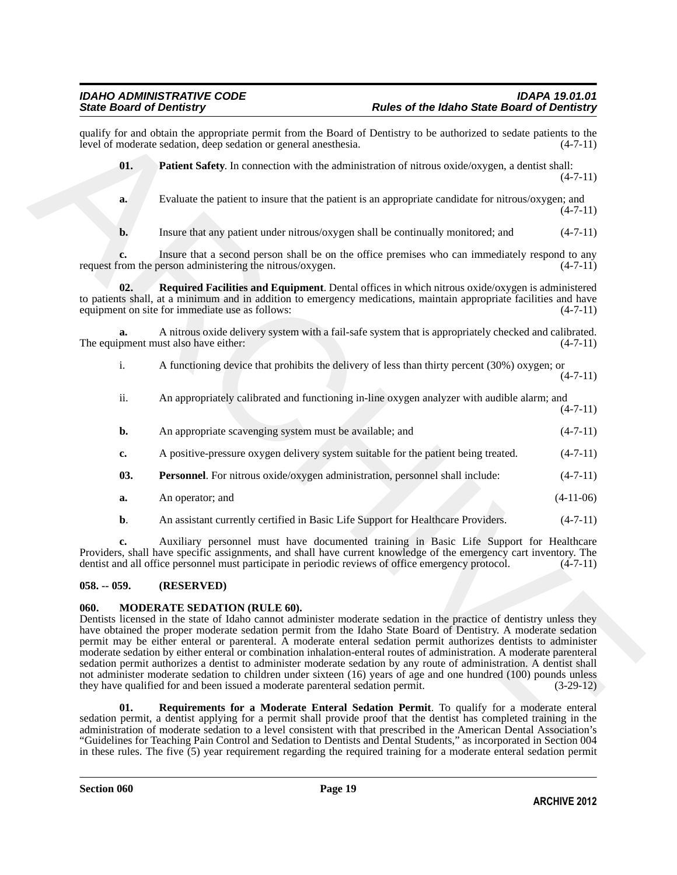<span id="page-18-6"></span><span id="page-18-5"></span>

| 01.            | Patient Safety. In connection with the administration of nitrous oxide/oxygen, a dentist shall:                                                                                                                                                                                                                                                                                                                                                                                                                                                                                                                                                                                                                                                                 | $(4-7-11)$  |
|----------------|-----------------------------------------------------------------------------------------------------------------------------------------------------------------------------------------------------------------------------------------------------------------------------------------------------------------------------------------------------------------------------------------------------------------------------------------------------------------------------------------------------------------------------------------------------------------------------------------------------------------------------------------------------------------------------------------------------------------------------------------------------------------|-------------|
| a.             | Evaluate the patient to insure that the patient is an appropriate candidate for nitrous/oxygen; and                                                                                                                                                                                                                                                                                                                                                                                                                                                                                                                                                                                                                                                             | $(4-7-11)$  |
| $\mathbf{b}$ . | Insure that any patient under nitrous/oxygen shall be continually monitored; and                                                                                                                                                                                                                                                                                                                                                                                                                                                                                                                                                                                                                                                                                | $(4-7-11)$  |
|                | Insure that a second person shall be on the office premises who can immediately respond to any<br>request from the person administering the nitrous/oxygen.                                                                                                                                                                                                                                                                                                                                                                                                                                                                                                                                                                                                     | $(4-7-11)$  |
| 02.            | Required Facilities and Equipment. Dental offices in which nitrous oxide/oxygen is administered<br>to patients shall, at a minimum and in addition to emergency medications, maintain appropriate facilities and have<br>equipment on site for immediate use as follows:                                                                                                                                                                                                                                                                                                                                                                                                                                                                                        | $(4-7-11)$  |
| a.             | A nitrous oxide delivery system with a fail-safe system that is appropriately checked and calibrated.<br>The equipment must also have either:                                                                                                                                                                                                                                                                                                                                                                                                                                                                                                                                                                                                                   | $(4-7-11)$  |
| i.             | A functioning device that prohibits the delivery of less than thirty percent (30%) oxygen; or                                                                                                                                                                                                                                                                                                                                                                                                                                                                                                                                                                                                                                                                   | $(4-7-11)$  |
| ii.            | An appropriately calibrated and functioning in-line oxygen analyzer with audible alarm; and                                                                                                                                                                                                                                                                                                                                                                                                                                                                                                                                                                                                                                                                     | $(4-7-11)$  |
| b.             | An appropriate scavenging system must be available; and                                                                                                                                                                                                                                                                                                                                                                                                                                                                                                                                                                                                                                                                                                         | $(4-7-11)$  |
| c.             | A positive-pressure oxygen delivery system suitable for the patient being treated.                                                                                                                                                                                                                                                                                                                                                                                                                                                                                                                                                                                                                                                                              | $(4-7-11)$  |
| 03.            | Personnel. For nitrous oxide/oxygen administration, personnel shall include:                                                                                                                                                                                                                                                                                                                                                                                                                                                                                                                                                                                                                                                                                    | $(4-7-11)$  |
| a.             | An operator; and                                                                                                                                                                                                                                                                                                                                                                                                                                                                                                                                                                                                                                                                                                                                                | $(4-11-06)$ |
| $b$ .          | An assistant currently certified in Basic Life Support for Healthcare Providers.                                                                                                                                                                                                                                                                                                                                                                                                                                                                                                                                                                                                                                                                                | $(4-7-11)$  |
| c.             | Auxiliary personnel must have documented training in Basic Life Support for Healthcare<br>Providers, shall have specific assignments, and shall have current knowledge of the emergency cart inventory. The<br>dentist and all office personnel must participate in periodic reviews of office emergency protocol.                                                                                                                                                                                                                                                                                                                                                                                                                                              | $(4-7-11)$  |
| $058. - 059.$  | (RESERVED)                                                                                                                                                                                                                                                                                                                                                                                                                                                                                                                                                                                                                                                                                                                                                      |             |
| 060.           | MODERATE SEDATION (RULE 60).<br>Dentists licensed in the state of Idaho cannot administer moderate sedation in the practice of dentistry unless they<br>have obtained the proper moderate sedation permit from the Idaho State Board of Dentistry. A moderate sedation<br>permit may be either enteral or parenteral. A moderate enteral sedation permit authorizes dentists to administer<br>moderate sedation by either enteral or combination inhalation-enteral routes of administration. A moderate parenteral<br>sedation permit authorizes a dentist to administer moderate sedation by any route of administration. A dentist shall<br>not administer moderate sedation to children under sixteen (16) years of age and one hundred (100) pounds unless |             |

### <span id="page-18-4"></span><span id="page-18-0"></span>**058. -- 059. (RESERVED)**

### <span id="page-18-2"></span><span id="page-18-1"></span>**060. MODERATE SEDATION (RULE 60).**

<span id="page-18-3"></span>**01. Requirements for a Moderate Enteral Sedation Permit**. To qualify for a moderate enteral sedation permit, a dentist applying for a permit shall provide proof that the dentist has completed training in the administration of moderate sedation to a level consistent with that prescribed in the American Dental Association's "Guidelines for Teaching Pain Control and Sedation to Dentists and Dental Students," as incorporated in Section 004 in these rules. The five (5) year requirement regarding the required training for a moderate enteral sedation permit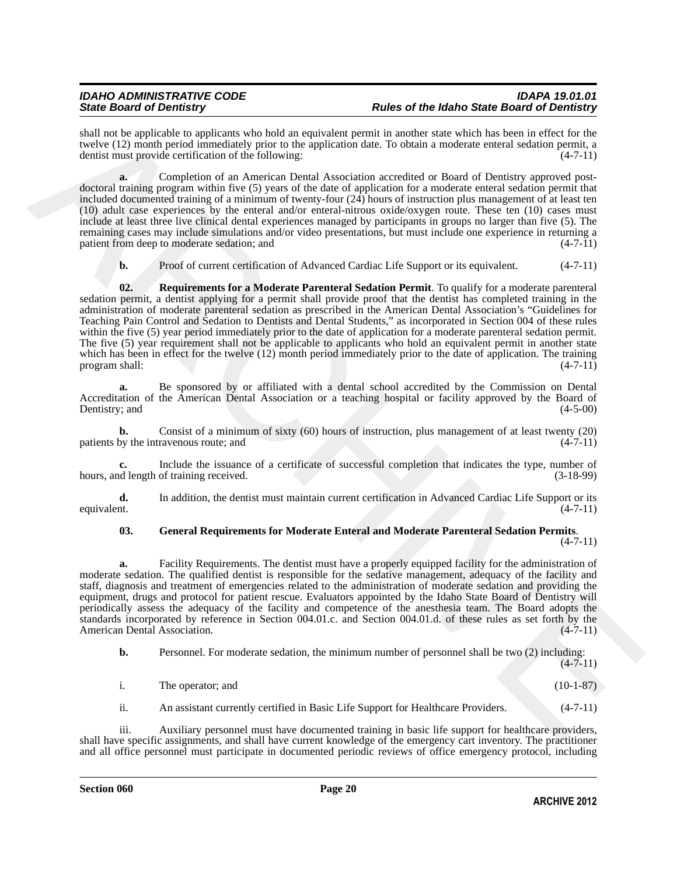# *IDAHO ADMINISTRATIVE CODE IDAPA 19.01.01 State Board of Dentistry Rules of the Idaho State Board of Dentistry*

shall not be applicable to applicants who hold an equivalent permit in another state which has been in effect for the twelve (12) month period immediately prior to the application date. To obtain a moderate enteral sedation permit, a dentist must provide certification of the following: dentist must provide certification of the following:

**a.** Completion of an American Dental Association accredited or Board of Dentistry approved postdoctoral training program within five (5) years of the date of application for a moderate enteral sedation permit that included documented training of a minimum of twenty-four (24) hours of instruction plus management of at least ten (10) adult case experiences by the enteral and/or enteral-nitrous oxide/oxygen route. These ten (10) cases must include at least three live clinical dental experiences managed by participants in groups no larger than five (5). The remaining cases may include simulations and/or video presentations, but must include one experience in returning a patient from deep to moderate sedation; and (4-7-11) patient from deep to moderate sedation; and

<span id="page-19-1"></span>**b.** Proof of current certification of Advanced Cardiac Life Support or its equivalent. (4-7-11)

shall not be myllically a application who both a registralies premisi a newlet attached in the proposition of the first of the myllically and the stationary and the stationary (4-11) the myllically applicated to the first **02. Requirements for a Moderate Parenteral Sedation Permit**. To qualify for a moderate parenteral sedation permit, a dentist applying for a permit shall provide proof that the dentist has completed training in the administration of moderate parenteral sedation as prescribed in the American Dental Association's "Guidelines for Teaching Pain Control and Sedation to Dentists and Dental Students," as incorporated in Section 004 of these rules within the five (5) year period immediately prior to the date of application for a moderate parenteral sedation permit. The five (5) year requirement shall not be applicable to applicants who hold an equivalent permit in another state which has been in effect for the twelve (12) month period immediately prior to the date of application. The training program shall:  $(4-7-11)$ program shall:

**a.** Be sponsored by or affiliated with a dental school accredited by the Commission on Dental Accreditation of the American Dental Association or a teaching hospital or facility approved by the Board of Dentistry: and (4-5-00) Dentistry; and

**b.** Consist of a minimum of sixty (60) hours of instruction, plus management of at least twenty (20) by the intravenous route; and (4-7-11) patients by the intravenous route; and

**c.** Include the issuance of a certificate of successful completion that indicates the type, number of delength of training received. (3-18-99) hours, and length of training received.

**d.** In addition, the dentist must maintain current certification in Advanced Cardiac Life Support or its equivalent.  $(4-7-11)$ equivalent. (4-7-11)

#### <span id="page-19-0"></span>**03. General Requirements for Moderate Enteral and Moderate Parenteral Sedation Permits**.  $(4 - 7 - 11)$

**a.** Facility Requirements. The dentist must have a properly equipped facility for the administration of moderate sedation. The qualified dentist is responsible for the sedative management, adequacy of the facility and staff, diagnosis and treatment of emergencies related to the administration of moderate sedation and providing the equipment, drugs and protocol for patient rescue. Evaluators appointed by the Idaho State Board of Dentistry will periodically assess the adequacy of the facility and competence of the anesthesia team. The Board adopts the standards incorporated by reference in Section 004.01.c. and Section 004.01.d. of these rules as set forth by the American Dental Association.

**b.** Personnel. For moderate sedation, the minimum number of personnel shall be two (2) including:  $(4 - 7 - 11)$ 

| The operator; and |  | $(10-1-87)$ |  |
|-------------------|--|-------------|--|
|                   |  |             |  |

ii. An assistant currently certified in Basic Life Support for Healthcare Providers. (4-7-11)

iii. Auxiliary personnel must have documented training in basic life support for healthcare providers, shall have specific assignments, and shall have current knowledge of the emergency cart inventory. The practitioner and all office personnel must participate in documented periodic reviews of office emergency protocol, including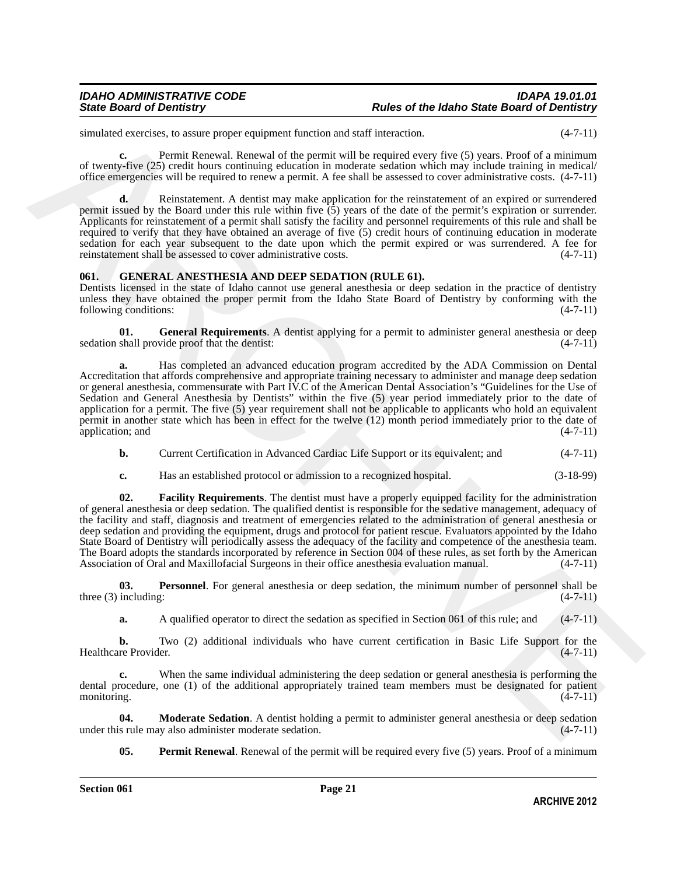simulated exercises, to assure proper equipment function and staff interaction.  $(4-7-11)$ 

**c.** Permit Renewal. Renewal of the permit will be required every five (5) years. Proof of a minimum of twenty-five (25) credit hours continuing education in moderate sedation which may include training in medical/ office emergencies will be required to renew a permit. A fee shall be assessed to cover administrative costs. (4-7-11)

**d.** Reinstatement. A dentist may make application for the reinstatement of an expired or surrendered permit issued by the Board under this rule within five (5) years of the date of the permit's expiration or surrender. Applicants for reinstatement of a permit shall satisfy the facility and personnel requirements of this rule and shall be required to verify that they have obtained an average of five (5) credit hours of continuing education in moderate sedation for each year subsequent to the date upon which the permit expired or was surrendered. A fee for reinstatement shall be assessed to cover administrative costs.  $(4-7-11)$ reinstatement shall be assessed to cover administrative costs.

### <span id="page-20-1"></span><span id="page-20-0"></span>**061. GENERAL ANESTHESIA AND DEEP SEDATION (RULE 61).**

Dentists licensed in the state of Idaho cannot use general anesthesia or deep sedation in the practice of dentistry unless they have obtained the proper permit from the Idaho State Board of Dentistry by conforming with the following conditions: (4-7-11) following conditions:

<span id="page-20-3"></span>**General Requirements**. A dentist applying for a permit to administer general anesthesia or deep vide proof that the dentist: (4-7-11) sedation shall provide proof that the dentist:

**a.** Has completed an advanced education program accredited by the ADA Commission on Dental Accreditation that affords comprehensive and appropriate training necessary to administer and manage deep sedation or general anesthesia, commensurate with Part IV.C of the American Dental Association's "Guidelines for the Use of Sedation and General Anesthesia by Dentists" within the five (5) year period immediately prior to the date of application for a permit. The five (5) year requirement shall not be applicable to applicants who hold an equivalent permit in another state which has been in effect for the twelve (12) month period immediately prior to the date of application; and (4-7-11) application; and

**b.** Current Certification in Advanced Cardiac Life Support or its equivalent; and  $(4-7-11)$ 

<span id="page-20-2"></span>**c.** Has an established protocol or admission to a recognized hospital. (3-18-99)

simulated exterds as An same properties of the properties and the forest control of external in the control of the control of the control of the control of the control of the control of the control of the control of the c **02. Facility Requirements**. The dentist must have a properly equipped facility for the administration of general anesthesia or deep sedation. The qualified dentist is responsible for the sedative management, adequacy of the facility and staff, diagnosis and treatment of emergencies related to the administration of general anesthesia or deep sedation and providing the equipment, drugs and protocol for patient rescue. Evaluators appointed by the Idaho State Board of Dentistry will periodically assess the adequacy of the facility and competence of the anesthesia team. The Board adopts the standards incorporated by reference in Section 004 of these rules, as set forth by the American Association of Oral and Maxillofacial Surgeons in their office anesthesia evaluation manual. (4-7-11) Association of Oral and Maxillofacial Surgeons in their office anesthesia evaluation manual.

**03. Personnel**. For general anesthesia or deep sedation, the minimum number of personnel shall be three (3) including:  $(4-7-11)$ 

<span id="page-20-6"></span>**a.** A qualified operator to direct the sedation as specified in Section 061 of this rule; and (4-7-11)

**b.** Two (2) additional individuals who have current certification in Basic Life Support for the Healthcare Provider. (4-7-11)

**c.** When the same individual administering the deep sedation or general anesthesia is performing the dental procedure, one (1) of the additional appropriately trained team members must be designated for patient monitoring. (4-7-11)

**04. Moderate Sedation**. A dentist holding a permit to administer general anesthesia or deep sedation s rule may also administer moderate sedation. (4-7-11) under this rule may also administer moderate sedation.

<span id="page-20-5"></span><span id="page-20-4"></span>**05. Permit Renewal**. Renewal of the permit will be required every five (5) years. Proof of a minimum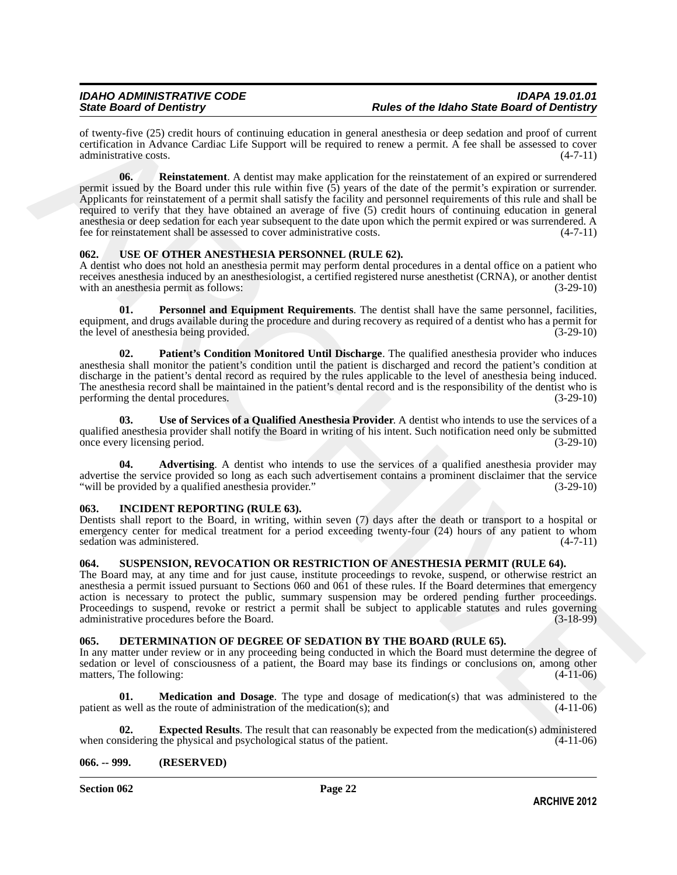<span id="page-21-8"></span>of twenty-five (25) credit hours of continuing education in general anesthesia or deep sedation and proof of current certification in Advance Cardiac Life Support will be required to renew a permit. A fee shall be assessed to cover administrative costs.

of treaty, the CV3 crossing of forming characteris is power in methods or determined to the maximum and production and positive of  $\sim$  3.11) the maximum and the second of the second of the second of the second of the sec **06.** Reinstatement. A dentist may make application for the reinstatement of an expired or surrendered permit issued by the Board under this rule within five  $(5)$  years of the date of the permit's expiration or surrender. Applicants for reinstatement of a permit shall satisfy the facility and personnel requirements of this rule and shall be required to verify that they have obtained an average of five (5) credit hours of continuing education in general anesthesia or deep sedation for each year subsequent to the date upon which the permit expired or was surrendered. A fee for reinstatement shall be assessed to cover administrative costs. (4-7-11)

#### <span id="page-21-11"></span><span id="page-21-0"></span>**062. USE OF OTHER ANESTHESIA PERSONNEL (RULE 62).**

A dentist who does not hold an anesthesia permit may perform dental procedures in a dental office on a patient who receives anesthesia induced by an anesthesiologist, a certified registered nurse anesthetist (CRNA), or another dentist with an anesthesia permit as follows: (3-29-10)

<span id="page-21-14"></span>**01. Personnel and Equipment Requirements**. The dentist shall have the same personnel, facilities, equipment, and drugs available during the procedure and during recovery as required of a dentist who has a permit for the level of anesthesia being provided. (3-29-10)

<span id="page-21-13"></span>**02. Patient's Condition Monitored Until Discharge**. The qualified anesthesia provider who induces anesthesia shall monitor the patient's condition until the patient is discharged and record the patient's condition at discharge in the patient's dental record as required by the rules applicable to the level of anesthesia being induced. The anesthesia record shall be maintained in the patient's dental record and is the responsibility of the dentist who is performing the dental procedures. (3-29-10)

<span id="page-21-15"></span>**03. Use of Services of a Qualified Anesthesia Provider**. A dentist who intends to use the services of a qualified anesthesia provider shall notify the Board in writing of his intent. Such notification need only be submitted once every licensing period. (3-29-10) once every licensing period.

<span id="page-21-12"></span>Advertising. A dentist who intends to use the services of a qualified anesthesia provider may advertise the service provided so long as each such advertisement contains a prominent disclaimer that the service<br>"will be provided by a qualified anesthesia provider." (3-29-10) "will be provided by a qualified anesthesia provider."

#### <span id="page-21-9"></span><span id="page-21-1"></span>**063. INCIDENT REPORTING (RULE 63).**

Dentists shall report to the Board, in writing, within seven (7) days after the death or transport to a hospital or emergency center for medical treatment for a period exceeding twenty-four (24) hours of any patient to whom sedation was administered. (4-7-11) sedation was administered.

# <span id="page-21-10"></span><span id="page-21-2"></span>**064. SUSPENSION, REVOCATION OR RESTRICTION OF ANESTHESIA PERMIT (RULE 64).**

The Board may, at any time and for just cause, institute proceedings to revoke, suspend, or otherwise restrict an anesthesia a permit issued pursuant to Sections 060 and 061 of these rules. If the Board determines that emergency action is necessary to protect the public, summary suspension may be ordered pending further proceedings. Proceedings to suspend, revoke or restrict a permit shall be subject to applicable statutes and rules governing administrative procedures before the Board. (3-18-99) administrative procedures before the Board.

### <span id="page-21-5"></span><span id="page-21-3"></span>**065. DETERMINATION OF DEGREE OF SEDATION BY THE BOARD (RULE 65).**

In any matter under review or in any proceeding being conducted in which the Board must determine the degree of sedation or level of consciousness of a patient, the Board may base its findings or conclusions on, among other matters, The following: (4-11-06) matters, The following:

<span id="page-21-7"></span>**Medication and Dosage**. The type and dosage of medication(s) that was administered to the patient as well as the route of administration of the medication(s); and (4-11-06)

<span id="page-21-6"></span>**02. Expected Results**. The result that can reasonably be expected from the medication(s) administered noise insidering the physical and psychological status of the patient. (4-11-06) when considering the physical and psychological status of the patient.

# <span id="page-21-4"></span>**066. -- 999. (RESERVED)**

**Section 062 Page 22**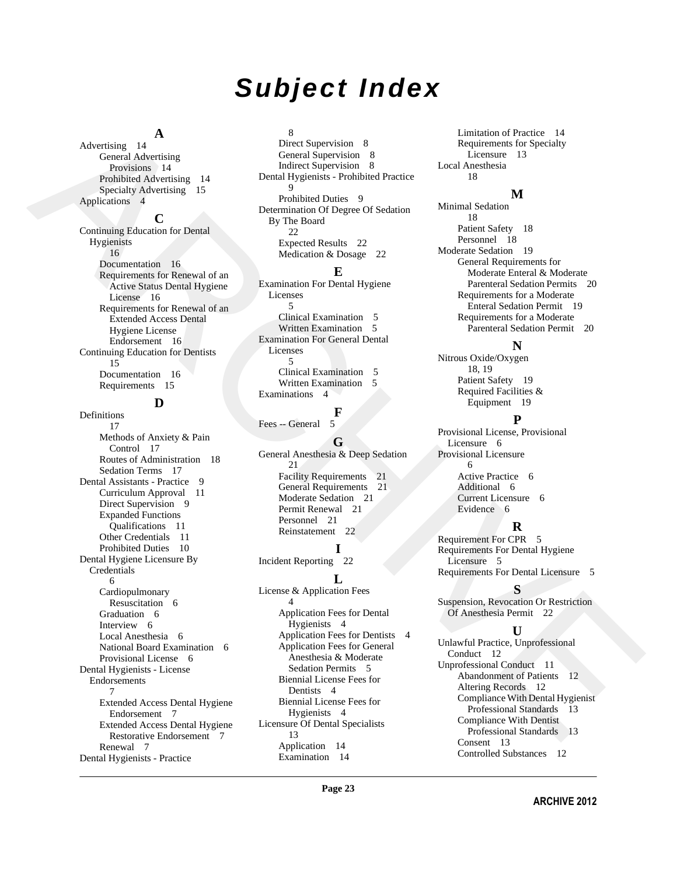# *Subject Index*

# **A**

Advertising 14 General Advertising Provisions 14 Prohibited Advertising 14 Specialty Advertising 15 Applications 4

#### **C**

Continuing Education for Dental Hygienists 16 Documentation 16 Requirements for Renewal of an Active Status Dental Hygiene License 16 Requirements for Renewal of an Extended Access Dental Hygiene License Endorsement 16 Continuing Education for Dentists 15 Documentation 16 Requirements 15

# **D**

[A](#page-13-1)ctoring 1.4 (and 2 December 1.6 (and 2 December 1.6 (and 2 December 1.6 (and 2 December 1.6 (and 2 December 1.6 (and 2 December 1.6 (and 2 December 1.6 (and 2 December 1.6 (and 2 December 1.6 (and 2 December 1.6 (and 2 D Definitions 17 Methods of Anxiety & Pain Control 17 Routes of Administration 18 Sedation Terms 17 Dental Assistants - Practice 9 Curriculum Approval 11 Direct Supervision 9 Expanded Functions Qualifications 11 Other Credentials 11 Prohibited Duties 10 Dental Hygiene Licensure By Credentials 6 Cardiopulmonary Resuscitation 6 Graduation 6 Interview 6 Local Anesthesia 6 National Board Examination 6 Provisional License 6 Dental Hygienists - License Endorsements 7 Extended Access Dental Hygiene Endorsement 7 Extended Access Dental Hygiene Restorative Endorsement 7 [Renewal 7](#page-6-3) Dental Hygienists - Practice

### 8

Direct Supervision 8 General Supervision 8 Indirect Supervision 8 Dental Hygienists - Prohibited Practice 9 Prohibited Duties 9 Determination Of Degree Of Sedation By The Board 22 Expected Results 22 Medication & Dosage 22

#### **E**

Examination For Dental Hygiene Licenses 5 Clinical Examination 5 Written Examination 5 Examination For General Dental Licenses 5 Clinical Examination 5 Written Examination 5 Examinations 4

# **F**

Fees -- General 5

# **G**

General Anesthesia & Deep Sedation 21 Facility Requirements 21 General Requirements 21 Moderate Sedation 21 Permit Renewal 21 Personnel 21 Reinstatement 22

# **I**

Incident Reporting 22

# **L**

License & Application Fees 4 Application Fees for Dental Hygienists 4 Application Fees for Dentists 4 Application Fees for General Anesthesia & Moderate Sedation Permits 5 Biennial License Fees for Dentists 4 Biennial License Fees for Hygienists 4 Licensure Of Dental Specialists 13 [Application 14](#page-13-3) [Examination 14](#page-13-4)

Limitation of Practice 14 Requirements for Specialty Licensure 13 Local Anesthesia 18

# **M**

Minimal Sedation 18 Patient Safety 18 Personnel 18 Moderate Sedation 19 General Requirements for Moderate Enteral & Moderate Parenteral Sedation Permits 20 Requirements for a Moderate Enteral Sedation Permit 19 Requirements for a Moderate Parenteral Sedation Permit 20

### **N**

Nitrous Oxide/Oxygen 18, 19 Patient Safety 19 Required Facilities & Equipment 19

### **P**

Provisional License, Provisional Licensure 6 Provisional Licensure 6 Active Practice 6 Additional 6 Current Licensure 6 Evidence 6

### **R**

Requirement For CPR 5 Requirements For Dental Hygiene Licensure 5 Requirements For Dental Licensure 5

### **S**

Suspension, Revocation Or Restriction Of Anesthesia Permit 22

# **U**

Unlawful Practice, Unprofessional Conduct 12 Unprofessional Conduct 11 Abandonment of Patients 12 Altering Records 12 Compliance With Dental Hygienist Professional Standards 13 Compliance With Dentist Professional Standards 13 Consent 13 [Controlled Substances 12](#page-11-3)